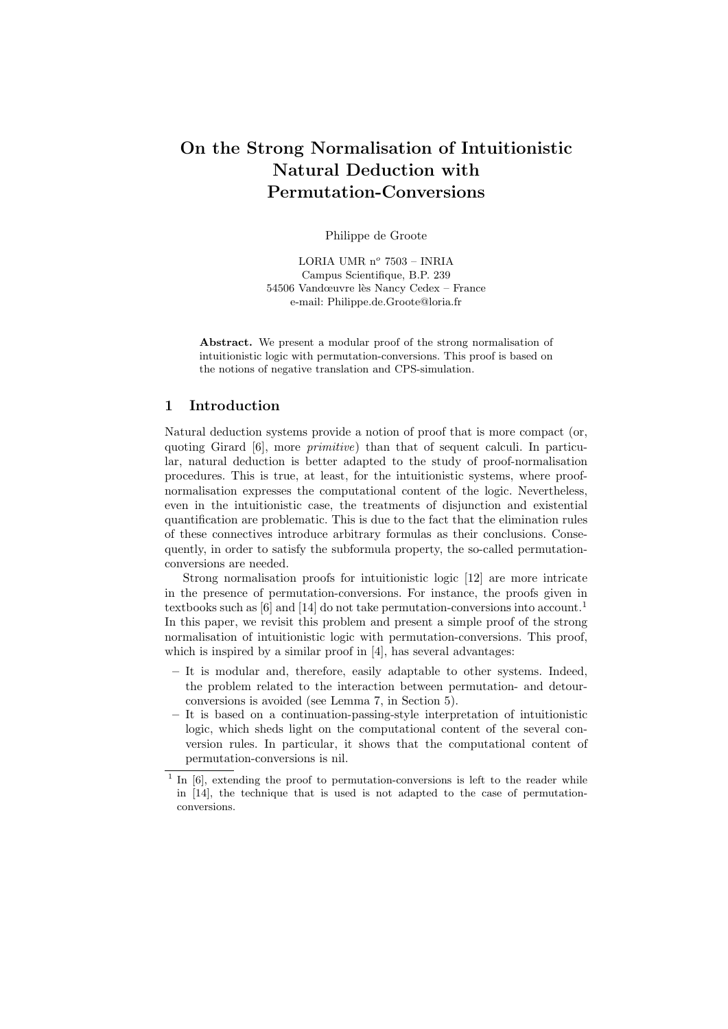# On the Strong Normalisation of Intuitionistic Natural Deduction with Permutation-Conversions

Philippe de Groote

LORIA UMR $n^o$ 7503 – INRIA Campus Scientifique, B.P. 239 54506 Vandœuvre lès Nancy Cedex – France e-mail: Philippe.de.Groote@loria.fr

Abstract. We present a modular proof of the strong normalisation of intuitionistic logic with permutation-conversions. This proof is based on the notions of negative translation and CPS-simulation.

## 1 Introduction

Natural deduction systems provide a notion of proof that is more compact (or, quoting Girard [6], more *primitive*) than that of sequent calculi. In particular, natural deduction is better adapted to the study of proof-normalisation procedures. This is true, at least, for the intuitionistic systems, where proofnormalisation expresses the computational content of the logic. Nevertheless, even in the intuitionistic case, the treatments of disjunction and existential quantification are problematic. This is due to the fact that the elimination rules of these connectives introduce arbitrary formulas as their conclusions. Consequently, in order to satisfy the subformula property, the so-called permutationconversions are needed.

Strong normalisation proofs for intuitionistic logic [12] are more intricate in the presence of permutation-conversions. For instance, the proofs given in textbooks such as  $[6]$  and  $[14]$  do not take permutation-conversions into account.<sup>1</sup> In this paper, we revisit this problem and present a simple proof of the strong normalisation of intuitionistic logic with permutation-conversions. This proof, which is inspired by a similar proof in [4], has several advantages:

- It is modular and, therefore, easily adaptable to other systems. Indeed, the problem related to the interaction between permutation- and detourconversions is avoided (see Lemma 7, in Section 5).
- It is based on a continuation-passing-style interpretation of intuitionistic logic, which sheds light on the computational content of the several conversion rules. In particular, it shows that the computational content of permutation-conversions is nil.

<sup>&</sup>lt;sup>1</sup> In [6], extending the proof to permutation-conversions is left to the reader while in [14], the technique that is used is not adapted to the case of permutationconversions.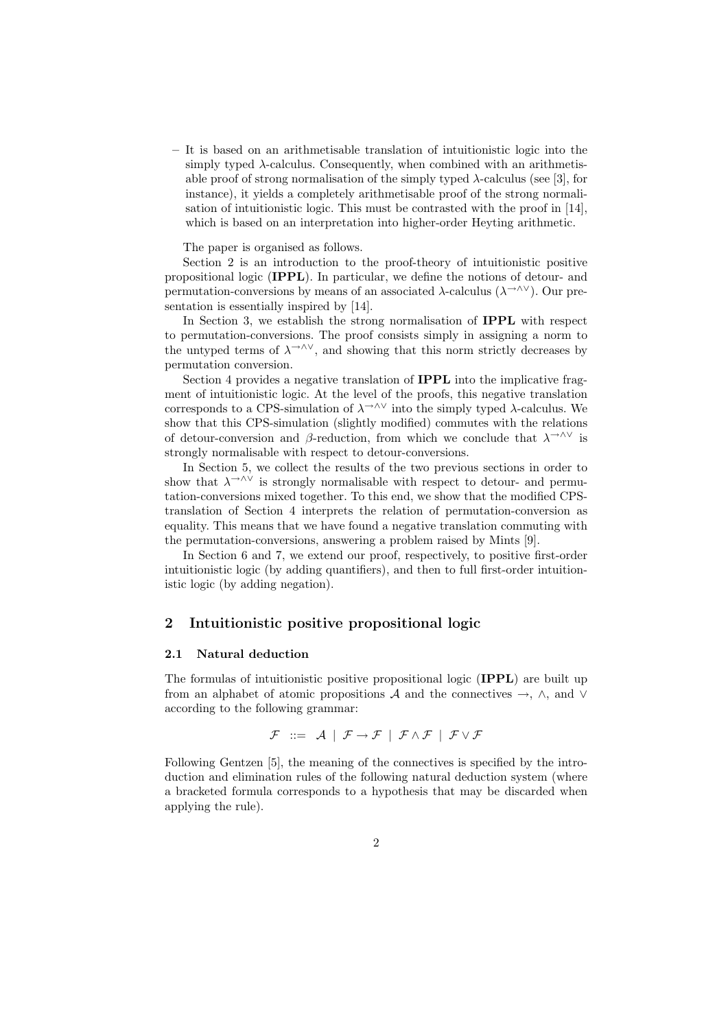– It is based on an arithmetisable translation of intuitionistic logic into the simply typed  $\lambda$ -calculus. Consequently, when combined with an arithmetisable proof of strong normalisation of the simply typed  $\lambda$ -calculus (see [3], for instance), it yields a completely arithmetisable proof of the strong normalisation of intuitionistic logic. This must be contrasted with the proof in [14], which is based on an interpretation into higher-order Heyting arithmetic.

The paper is organised as follows.

Section 2 is an introduction to the proof-theory of intuitionistic positive propositional logic (IPPL). In particular, we define the notions of detour- and permutation-conversions by means of an associated  $\lambda$ -calculus ( $\lambda \rightarrow \lambda \vee$ ). Our presentation is essentially inspired by [14].

In Section 3, we establish the strong normalisation of **IPPL** with respect to permutation-conversions. The proof consists simply in assigning a norm to the untyped terms of  $\lambda \rightarrow \lambda \vee$ , and showing that this norm strictly decreases by permutation conversion.

Section 4 provides a negative translation of IPPL into the implicative fragment of intuitionistic logic. At the level of the proofs, this negative translation corresponds to a CPS-simulation of  $\lambda^{\rightarrow} \lambda$  into the simply typed  $\lambda$ -calculus. We show that this CPS-simulation (slightly modified) commutes with the relations of detour-conversion and  $\beta$ -reduction, from which we conclude that  $\lambda^{\rightarrow \wedge \vee}$  is strongly normalisable with respect to detour-conversions.

In Section 5, we collect the results of the two previous sections in order to show that  $\lambda \rightarrow \lambda \vee$  is strongly normalisable with respect to detour- and permutation-conversions mixed together. To this end, we show that the modified CPStranslation of Section 4 interprets the relation of permutation-conversion as equality. This means that we have found a negative translation commuting with the permutation-conversions, answering a problem raised by Mints [9].

In Section 6 and 7, we extend our proof, respectively, to positive first-order intuitionistic logic (by adding quantifiers), and then to full first-order intuitionistic logic (by adding negation).

#### 2 Intuitionistic positive propositional logic

#### 2.1 Natural deduction

The formulas of intuitionistic positive propositional logic (**IPPL**) are built up from an alphabet of atomic propositions A and the connectives  $\rightarrow$ ,  $\land$ , and  $\lor$ according to the following grammar:

$$
\mathcal{F} \ ::= \ \mathcal{A} \ \ | \ \ \mathcal{F} \rightarrow \mathcal{F} \ \ | \ \ \mathcal{F} \wedge \mathcal{F} \ \ | \ \ \mathcal{F} \vee \mathcal{F}
$$

Following Gentzen [5], the meaning of the connectives is specified by the introduction and elimination rules of the following natural deduction system (where a bracketed formula corresponds to a hypothesis that may be discarded when applying the rule).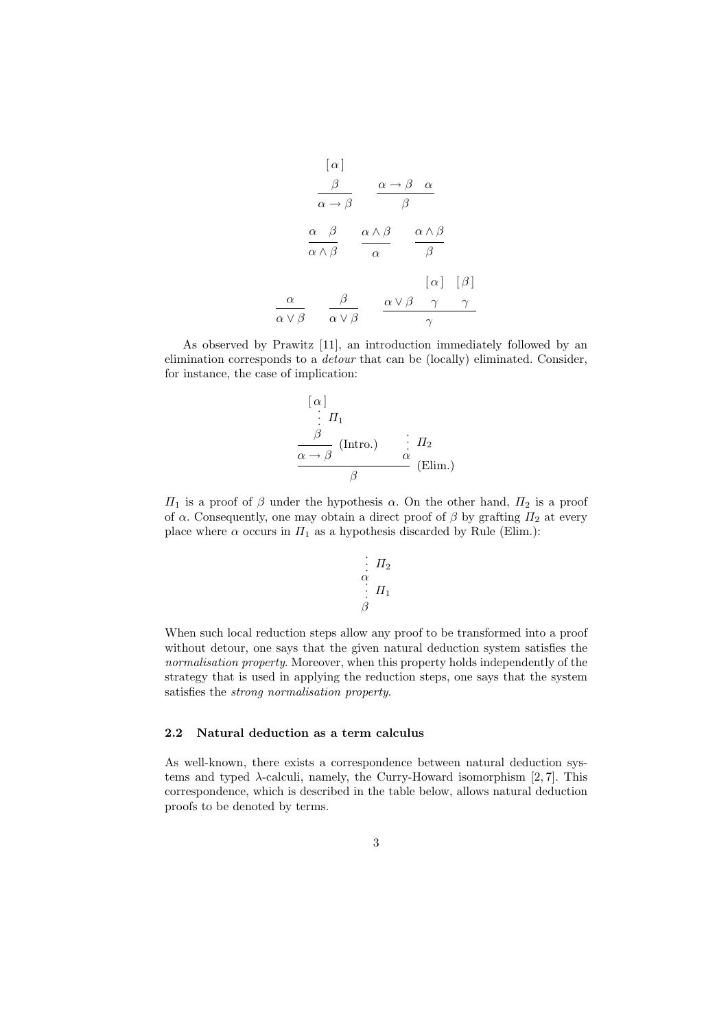$$
\begin{array}{ccc}\n[\alpha] & & & \\
\frac{\beta}{\alpha \to \beta} & \frac{\alpha \to \beta}{\beta} & \frac{\alpha}{\beta} \\
\frac{\alpha}{\alpha \land \beta} & \frac{\alpha \land \beta}{\alpha} & \frac{\alpha \land \beta}{\beta} \\
\frac{\alpha}{\alpha \lor \beta} & \frac{\beta}{\alpha \lor \beta} & \frac{\alpha \lor \beta}{\gamma} & \frac{\gamma}{\gamma}\n\end{array}
$$

As observed by Prawitz [11], an introduction immediately followed by an elimination corresponds to a detour that can be (locally) eliminated. Consider, for instance, the case of implication:

$$
\begin{array}{c}\n[\alpha] \\
\vdots \\
\beta \\
\hline\n\alpha \to \beta\n\end{array}
$$
\n(Intro.)\n
$$
\begin{array}{c}\n\vdots I_2 \\
\alpha \to \beta\n\end{array}
$$
\n(Elim.)

 $\Pi_1$  is a proof of  $\beta$  under the hypothesis  $\alpha$ . On the other hand,  $\Pi_2$  is a proof of  $\alpha$ . Consequently, one may obtain a direct proof of  $\beta$  by grafting  $\Pi_2$  at every place where  $\alpha$  occurs in  $\Pi_1$  as a hypothesis discarded by Rule (Elim.):

$$
\begin{array}{c}\n\vdots \\
\alpha \\
\vdots \\
\beta\n\end{array} \quad \Pi_1
$$

When such local reduction steps allow any proof to be transformed into a proof without detour, one says that the given natural deduction system satisfies the normalisation property. Moreover, when this property holds independently of the strategy that is used in applying the reduction steps, one says that the system satisfies the strong normalisation property.

#### 2.2 Natural deduction as a term calculus

As well-known, there exists a correspondence between natural deduction systems and typed  $\lambda$ -calculi, namely, the Curry-Howard isomorphism [2, 7]. This correspondence, which is described in the table below, allows natural deduction proofs to be denoted by terms.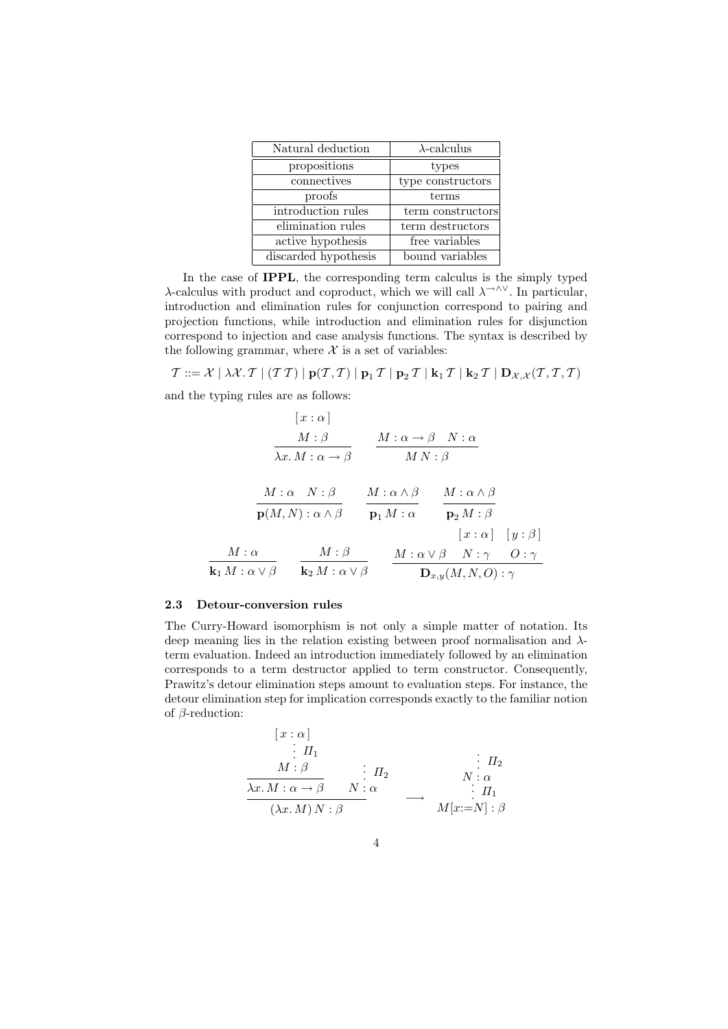| Natural deduction    | $\lambda$ -calculus |
|----------------------|---------------------|
| propositions         | types               |
| connectives          | type constructors   |
| proofs               | terms               |
| introduction rules   | term constructors   |
| elimination rules    | term destructors    |
| active hypothesis    | free variables      |
| discarded hypothesis | bound variables     |

In the case of IPPL, the corresponding term calculus is the simply typed λ-calculus with product and coproduct, which we will call  $λ^{\rightarrow \wedge \vee}$ . In particular, introduction and elimination rules for conjunction correspond to pairing and projection functions, while introduction and elimination rules for disjunction correspond to injection and case analysis functions. The syntax is described by the following grammar, where  $X$  is a set of variables:

 $\mathcal{T} ::= \mathcal{X} \; | \; \lambda \mathcal{X}. \mathcal{T} \; | \; (\mathcal{T} \, \mathcal{T}) \; | \; \mathbf{p}(\mathcal{T}, \mathcal{T}) \; | \; \mathbf{p}_1 \, \mathcal{T} \; | \; \mathbf{p}_2 \, \mathcal{T} \; | \; \mathbf{k}_1 \, \mathcal{T} \; | \; \mathbf{k}_2 \, \mathcal{T} \; | \; \mathbf{D}_{\mathcal{X}, \mathcal{X}}(\mathcal{T}, \mathcal{T}, \mathcal{T})$ and the typing rules are as follows:

$$
\begin{array}{cccc}\n & [x:\alpha] \\
 & M:\beta & M:\alpha \rightarrow \beta \end{array}\n\qquad\n\begin{array}{c}\nM:\alpha \rightarrow \beta & N:\alpha \\
\hline\nMN:\beta\n\end{array}
$$
\n
$$
\begin{array}{cccc}\nM:\alpha & N:\beta \\
\hline\np(M,N):\alpha \wedge \beta & \overline{p_1 M:\alpha} & \overline{p_2 M:\beta} \\
 & [x:\alpha] & [y:\beta] \\
\hline\n\mathbf{k}_1 M:\alpha \vee \beta & \overline{\mathbf{k}_2 M:\alpha \vee \beta} & \overline{\mathbf{h}_2 M:\alpha \vee \beta} & N:\gamma & O:\gamma \\
\end{array}
$$

#### 2.3 Detour-conversion rules

The Curry-Howard isomorphism is not only a simple matter of notation. Its deep meaning lies in the relation existing between proof normalisation and  $\lambda$ term evaluation. Indeed an introduction immediately followed by an elimination corresponds to a term destructor applied to term constructor. Consequently, Prawitz's detour elimination steps amount to evaluation steps. For instance, the detour elimination step for implication corresponds exactly to the familiar notion of  $\beta$ -reduction:

$$
\begin{array}{ccc}\n[x:\alpha] & & \vdots & \Pi_1 \\
\vdots & \Pi_1 & & \vdots & \Pi_2 \\
\hline\n\lambda x. M : \alpha \to \beta & N : \alpha & & \vdots & \Pi_1 \\
(\lambda x. M) N : \beta & & \downarrow & \Pi_1 \\
\end{array}
$$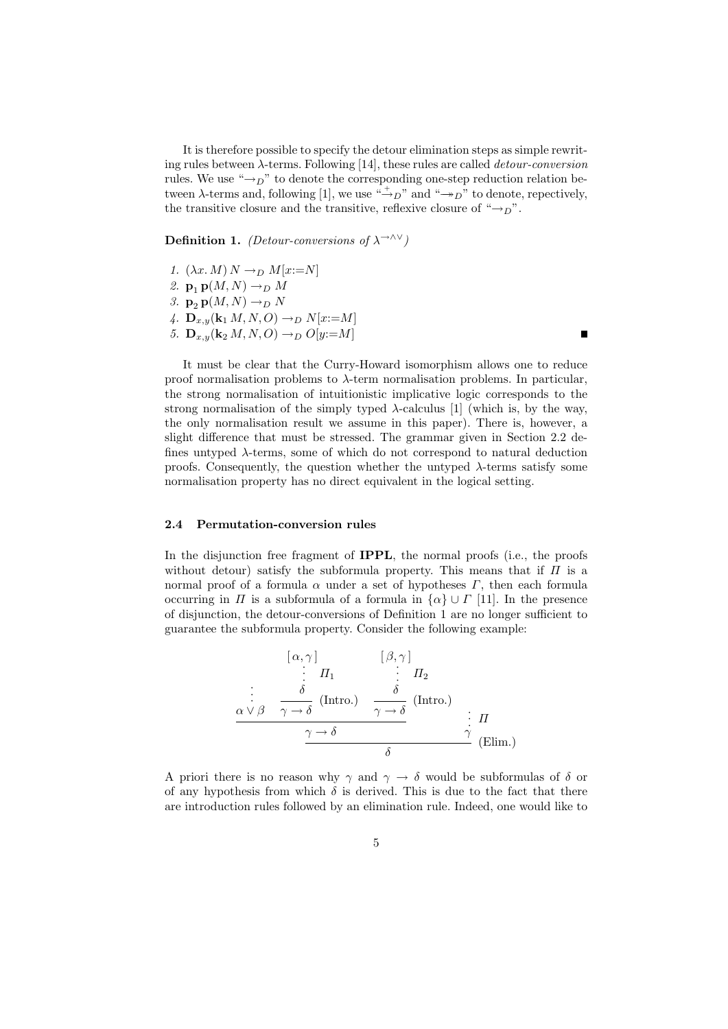It is therefore possible to specify the detour elimination steps as simple rewriting rules between  $\lambda$ -terms. Following [14], these rules are called *detour-conversion* rules. We use " $\rightarrow_D$ " to denote the corresponding one-step reduction relation between  $\lambda$ -terms and, following [1], we use " $\rightarrow_D$ " and " $\rightarrow_D$ " to denote, repectively, the transitive closure and the transitive, reflexive closure of " $\rightarrow_D$ ".

**Definition 1.** (Detour-conversions of  $\lambda \rightarrow \lambda \vee$ )

- 1.  $(\lambda x. M) N \rightarrow_D M[x:=N]$
- 2.  $\mathbf{p}_1 \mathbf{p}(M, N) \rightarrow_D M$
- 3.  $\mathbf{p}_2 \mathbf{p}(M, N) \rightarrow_D N$
- 4.  $\mathbf{D}_{x,y}(\mathbf{k}_1 M, N, O) \to_D N[x := M]$
- 5.  ${\bf D}_{x,y}({\bf k}_2 M, N, O) \rightarrow_D O[y:=M]$

Ē

It must be clear that the Curry-Howard isomorphism allows one to reduce proof normalisation problems to  $\lambda$ -term normalisation problems. In particular, the strong normalisation of intuitionistic implicative logic corresponds to the strong normalisation of the simply typed  $\lambda$ -calculus [1] (which is, by the way, the only normalisation result we assume in this paper). There is, however, a slight difference that must be stressed. The grammar given in Section 2.2 defines untyped  $\lambda$ -terms, some of which do not correspond to natural deduction proofs. Consequently, the question whether the untyped  $\lambda$ -terms satisfy some normalisation property has no direct equivalent in the logical setting.

#### 2.4 Permutation-conversion rules

In the disjunction free fragment of IPPL, the normal proofs (i.e., the proofs without detour) satisfy the subformula property. This means that if  $\Pi$  is a normal proof of a formula  $\alpha$  under a set of hypotheses  $\Gamma$ , then each formula occurring in  $\Pi$  is a subformula of a formula in  $\{\alpha\} \cup \Gamma$  [11]. In the presence of disjunction, the detour-conversions of Definition 1 are no longer sufficient to guarantee the subformula property. Consider the following example:

$$
\begin{array}{ccc}\n[\alpha,\gamma] & [\beta,\gamma] \\
\vdots & \Pi_1 & \vdots & \Pi_2 \\
\delta & \delta & \delta \\
\alpha \vee \beta & \gamma \to \delta\n\end{array}
$$
\n(Intro.)  
\n
$$
\begin{array}{ccc}\n\alpha \vee \beta & \gamma \to \delta\n\end{array}
$$
\n(Intro.)  
\n
$$
\begin{array}{ccc}\n\gamma \to \delta & \delta \\
\hline\n\delta & \delta\n\end{array}
$$
\n(Elim.)

A priori there is no reason why  $\gamma$  and  $\gamma \rightarrow \delta$  would be subformulas of  $\delta$  or of any hypothesis from which  $\delta$  is derived. This is due to the fact that there are introduction rules followed by an elimination rule. Indeed, one would like to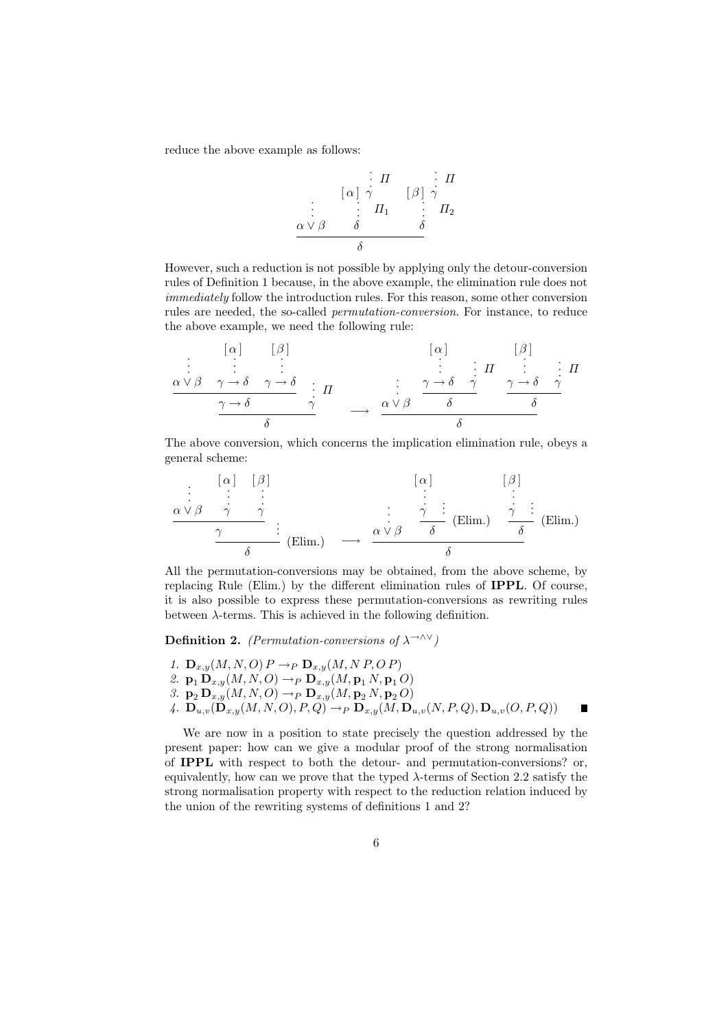reduce the above example as follows:

$$
\begin{array}{c}\n & \vdots & \Pi \\
\vdots & \vdots & \vdots \\
\alpha \vee \beta & \delta & \delta\n\end{array} \qquad\n\begin{array}{c}\n & \vdots & \Pi \\
\beta & \gamma & \Pi_2 \\
\vdots & \vdots & \vdots \\
\delta & \delta\n\end{array}
$$

However, such a reduction is not possible by applying only the detour-conversion rules of Definition 1 because, in the above example, the elimination rule does not immediately follow the introduction rules. For this reason, some other conversion rules are needed, the so-called permutation-conversion. For instance, to reduce the above example, we need the following rule:

· · · α ∨ β [ α ] · · · γ → δ [ β ] · · · γ → δ γ → δ · · · Π γ δ −→ · · · α ∨ β [ α ] · · · γ → δ · · · Π γ δ [ β ] · · · γ → δ · · · Π γ δ δ

The above conversion, which concerns the implication elimination rule, obeys a general scheme:

· · · α ∨ β [ α ] · · · γ [ β ] · · · γ γ . . . (Elim.) δ −→ · · · α ∨ β [ α ] · · · γ . . . (Elim.) δ [ β ] · · · γ . . . (Elim.) δ δ

All the permutation-conversions may be obtained, from the above scheme, by replacing Rule (Elim.) by the different elimination rules of IPPL. Of course, it is also possible to express these permutation-conversions as rewriting rules between  $\lambda$ -terms. This is achieved in the following definition.

**Definition 2.** (Permutation-conversions of  $\lambda^{-\lambda V}$ )

- 1.  $\mathbf{D}_{x,y}(M, N, O)$   $P \rightarrow_P \mathbf{D}_{x,y}(M, N, P, O, P)$
- 2.  $\mathbf{p}_1 \mathbf{D}_{x,y}(M, N, O) \to_P \mathbf{D}_{x,y}(M, \mathbf{p}_1 N, \mathbf{p}_1 O)$
- 3.  $\mathbf{p}_2 \mathbf{D}_{x,y}(M, N, O) \rightarrow_P \mathbf{D}_{x,y}(M, \mathbf{p}_2 N, \mathbf{p}_2 O)$
- 4.  $\mathbf{D}_{u,v}(\mathbf{D}_{x,y}(M,N,O),P,Q) \to_P \mathbf{D}_{x,y}(M,\mathbf{D}_{u,v}(N,P,Q),\mathbf{D}_{u,v}(O,P,Q))$ П

We are now in a position to state precisely the question addressed by the present paper: how can we give a modular proof of the strong normalisation of IPPL with respect to both the detour- and permutation-conversions? or, equivalently, how can we prove that the typed  $\lambda$ -terms of Section 2.2 satisfy the strong normalisation property with respect to the reduction relation induced by the union of the rewriting systems of definitions 1 and 2?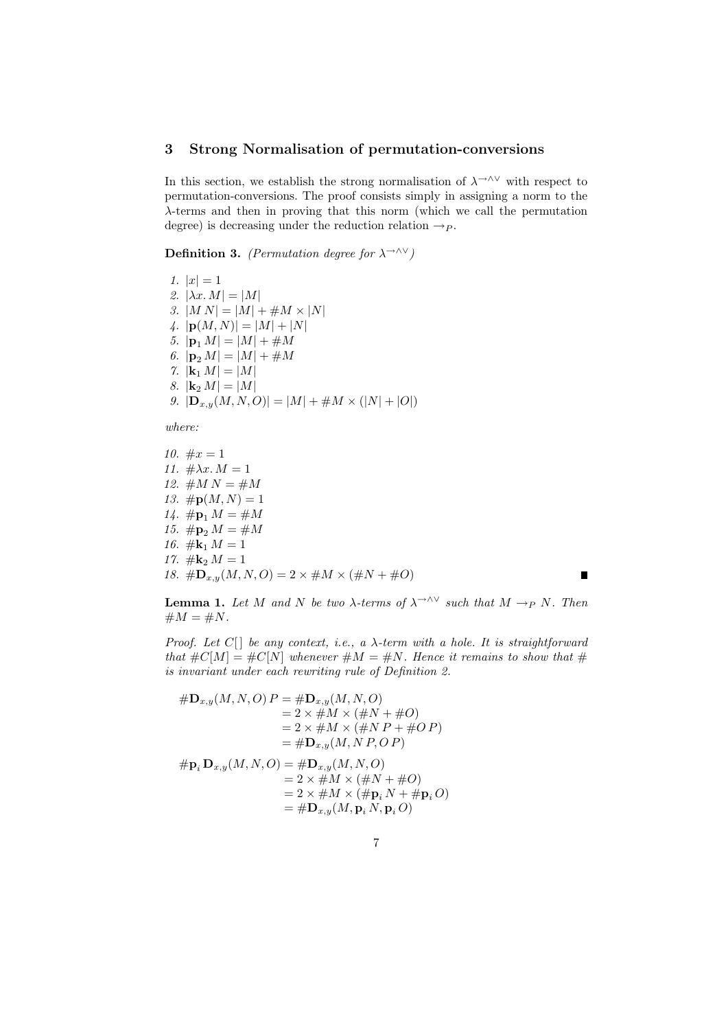## 3 Strong Normalisation of permutation-conversions

In this section, we establish the strong normalisation of  $\lambda \rightarrow 0$  with respect to permutation-conversions. The proof consists simply in assigning a norm to the λ-terms and then in proving that this norm (which we call the permutation degree) is decreasing under the reduction relation  $\rightarrow P$ .

**Definition 3.** (Permutation degree for  $\lambda \rightarrow \lambda \vee$ )

1.  $|x| = 1$ 2.  $|\lambda x.M| = |M|$ 3.  $|M N| = |M| + \#M \times |N|$ 4.  $|\mathbf{p}(M, N)| = |M| + |N|$ 5.  $|\mathbf{p}_1 M| = |M| + \#M$ 6.  $|\mathbf{p}_2 M| = |M| + \#M$ 7.  $|\mathbf{k}_1 M| = |M|$ 8.  $|\mathbf{k}_2 M| = |M|$ 9.  $|\mathbf{D}_{x,y}(M,N,O)| = |M| + \#M \times (|N| + |O|)$ 

where:

10.  $\#x = 1$ 11.  $\#\lambda x \cdot M = 1$ 12.  $\#M N = \#M$ 13.  $\# \mathbf{p}(M, N) = 1$ 14.  $\# \mathbf{p}_1 M = \# M$ 15.  $\# \mathbf{p}_2 M = \# M$ 16.  $\#\mathbf{k}_1 M = 1$ 17.  $\#$ **k**<sub>2</sub>  $M = 1$ 18.  $\#\mathbf{D}_{x,y}(M,N,O) = 2 \times \#M \times (\#N + \#O)$ 

П

**Lemma 1.** Let M and N be two  $\lambda$ -terms of  $\lambda \rightarrow 0$  such that  $M \rightarrow_P N$ . Then  $\#M = \#N$ .

Proof. Let  $C[\ ]$  be any context, i.e., a  $\lambda$ -term with a hole. It is straightforward that  $\#C[M] = \#C[N]$  whenever  $\#M = \#N$ . Hence it remains to show that  $\#$ is invariant under each rewriting rule of Definition 2.

$$
#D_{x,y}(M, N, O) P = #D_{x,y}(M, N, O)= 2 \times #M \times (#N + #O)= 2 \times #M \times (#N + #O P)= #D_{x,y}(M, N, P, O P)#pi Dx,y(M, N, O) = #Dx,y(M, N, O)= 2 \times #M \times (#N + #O)= 2 \times #M \times (#N + #O)= #Dx,y(M, pi N, pi O)= #Dx,y(M, pi N, pi O)
$$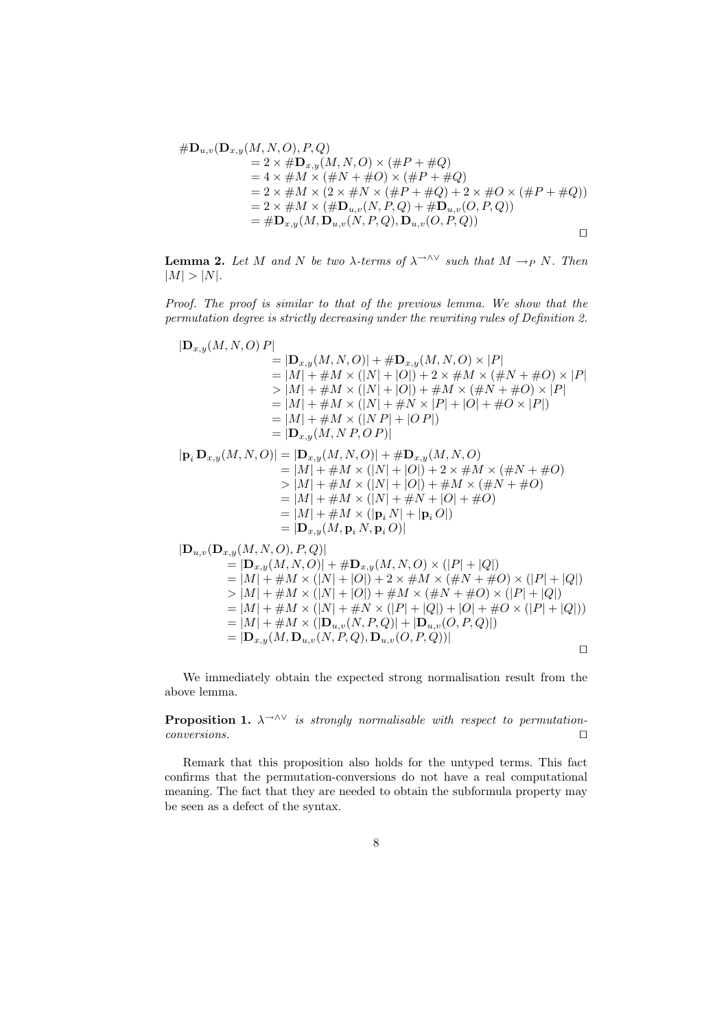$$
\#D_{u,v}(D_{x,y}(M,N,O),P,Q)
$$
  
= 2 × #D<sub>x,y</sub>(M,N,O) × (#P + #Q)  
= 4 × #M × (#N + #O) × (#P + #Q)  
= 2 × #M × (2 × #N × (#P + #Q) + 2 × #O × (#P + #Q))  
= 2 × #M × (#D<sub>u,v</sub>(N, P, Q) + #D<sub>u,v</sub>(O, P, Q))  
= #D<sub>x,y</sub>(M, D<sub>u,v</sub>(N, P, Q), D<sub>u,v</sub>(O, P, Q))

**Lemma 2.** Let M and N be two  $\lambda$ -terms of  $\lambda \rightarrow \lambda \vee$  such that  $M \rightarrow_P N$ . Then  $|M| > |N|$ .

Proof. The proof is similar to that of the previous lemma. We show that the permutation degree is strictly decreasing under the rewriting rules of Definition 2.

$$
|\mathbf{D}_{x,y}(M, N, O) P|
$$
\n
$$
= |\mathbf{D}_{x,y}(M, N, O)| + \# \mathbf{D}_{x,y}(M, N, O) \times |P|
$$
\n
$$
= |M| + \#M \times (|N| + |O|) + 2 \times \#M \times (\#N + \#O) \times |P|
$$
\n
$$
> |M| + \#M \times (|N| + |O|) + \#M \times (\#N + \#O) \times |P|
$$
\n
$$
= |M| + \#M \times (|N| + \#N \times |P| + |O| + \#O \times |P|)
$$
\n
$$
= |M| + \#M \times (|N| + |O|P|)
$$
\n
$$
= |\mathbf{D}_{x,y}(M, N, O) |
$$
\n
$$
= |\mathbf{D}_{x,y}(M, N, O)| + \# \mathbf{D}_{x,y}(M, N, O)
$$
\n
$$
= |M| + \#M \times (|N| + |O|) + 2 \times \#M \times (\#N + \#O)
$$
\n
$$
> |M| + \#M \times (|N| + |O|) + \#M \times (\#N + \#O)
$$
\n
$$
= |M| + \#M \times (|N| + |P|)
$$
\n
$$
= |M| + \#M \times (|N| + |P|)
$$
\n
$$
= |M| + \#M \times (|N| + |P|)
$$
\n
$$
= |D_{x,y}(M, P, D, Q)|
$$
\n
$$
= |\mathbf{D}_{x,y}(M, N, O)| + \# \mathbf{D}_{x,y}(M, N, O) \times (|P| + |Q|)
$$
\n
$$
= |\mathbf{D}_{x,y}(M, N, O)| + \# \mathbf{D}_{x,y}(M, N, O) \times (|P| + |Q|)
$$
\n
$$
= |M| + \#M \times (|N| + |O|) + 2 \times \#M \times (\#N + \#O) \times (|P| + |Q|)
$$
\n
$$
> |M| + \#M \times (|N| + |O|) + \#M \times (\#N + \#O) \times (|P| + |Q|)
$$
\n
$$
= |M| + \#M \times (|N| + \#N \times (|
$$

 $=|\mathbf{D}_{x,y}(M,\mathbf{D}_{u,v}(N,P,Q),\mathbf{D}_{u,v}(O,P,Q))|$  $\Box$ 

We immediately obtain the expected strong normalisation result from the above lemma.

**Proposition 1.**  $\lambda \rightarrow \lambda \vee$  is strongly normalisable with respect to permutation $conversions.$ 

Remark that this proposition also holds for the untyped terms. This fact confirms that the permutation-conversions do not have a real computational meaning. The fact that they are needed to obtain the subformula property may be seen as a defect of the syntax.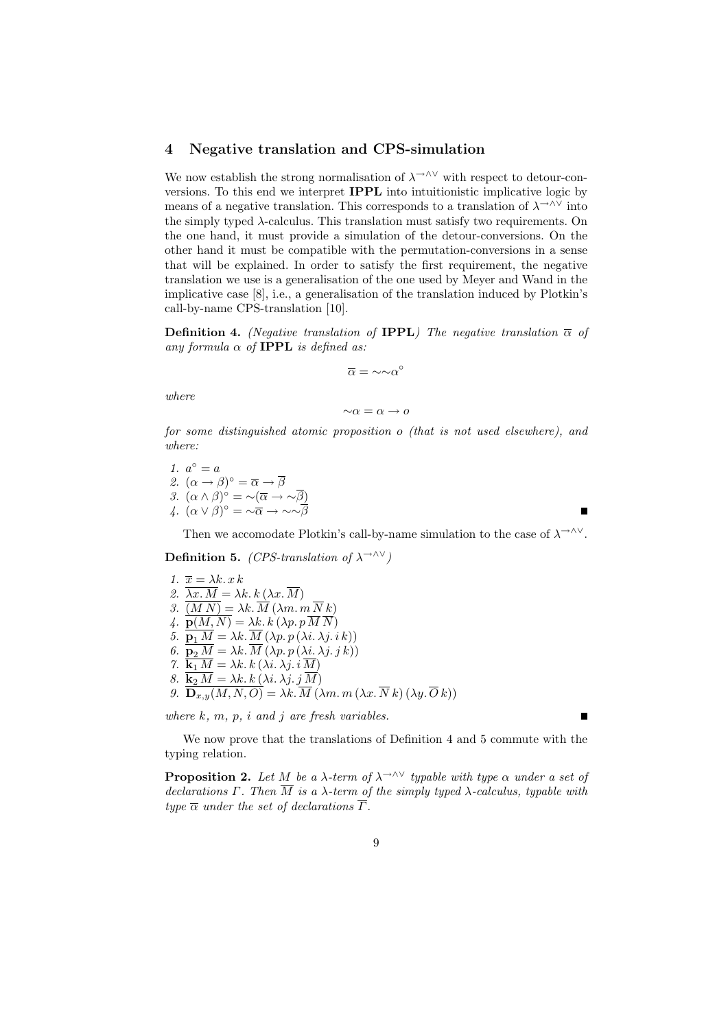## 4 Negative translation and CPS-simulation

We now establish the strong normalisation of  $\lambda^{\rightarrow} \sim \infty$  with respect to detour-conversions. To this end we interpret IPPL into intuitionistic implicative logic by means of a negative translation. This corresponds to a translation of  $\lambda \rightarrow \lambda \vee$  into the simply typed  $\lambda$ -calculus. This translation must satisfy two requirements. On the one hand, it must provide a simulation of the detour-conversions. On the other hand it must be compatible with the permutation-conversions in a sense that will be explained. In order to satisfy the first requirement, the negative translation we use is a generalisation of the one used by Meyer and Wand in the implicative case [8], i.e., a generalisation of the translation induced by Plotkin's call-by-name CPS-translation [10].

**Definition 4.** (Negative translation of **IPPL**) The negative translation  $\bar{\alpha}$  of any formula  $\alpha$  of **IPPL** is defined as:

$$
\overline{\alpha}=\mathord{\sim} \mathord{\sim} \alpha^\circ
$$

where

$$
{\sim}\alpha=\alpha\to o
$$

for some distinguished atomic proposition o (that is not used elsewhere), and where:

1.  $a^{\circ} = a$ 2.  $(\alpha \to \beta)^{\circ} = \overline{\alpha} \to \overline{\beta}$ 3.  $(\alpha \wedge \beta)^{\circ} = \neg(\overline{\alpha} \rightarrow \neg \overline{\beta})$ 4.  $(\alpha \vee \beta)^{\circ} = \sim \overline{\alpha} \rightarrow \sim \sim \overline{\beta}$ 

Then we accomodate Plotkin's call-by-name simulation to the case of  $\lambda \rightarrow \lambda \vee$ .

**Definition 5.** (CPS-translation of  $\lambda \rightarrow \lambda \vee$ )

1.  $\overline{x} = \lambda k \cdot x \cdot k$ 2.  $\overline{\lambda x \cdot M} = \lambda k \cdot k (\lambda x \cdot \overline{M})$ 3.  $\overline{(M N)} = \lambda k \cdot \overline{M} (\lambda m \cdot m \overline{N} k)$ 4.  $\overline{\mathbf{p}(M,N)} = \lambda k \cdot \hat{k} (\lambda p \cdot p \overline{M} \overline{N})$ 5.  $\overrightarrow{p_1 M} = \lambda k \cdot \overline{M} (\lambda p. p (\lambda i. \lambda j. i k))$ 6.  $\overline{\mathbf{p}_2 M} = \lambda k \cdot \overline{M} \left( \overline{\lambda p} \cdot \overline{p} \left( \lambda i \cdot \overline{\lambda j} \cdot j \right) k \right)$ 7.  $\overline{\mathbf{k}_1 M} = \lambda k \cdot k (\lambda i \cdot \lambda j \cdot i \overline{M})$ 8.  $\underline{\mathbf{k}}_2 M = \lambda k \cdot k (\lambda i \cdot \lambda j \cdot j M)$ 9.  $\mathbf{D}_{x,y}(M, N, O) = \lambda k \cdot M \left(\lambda m \cdot m \left(\lambda x \cdot N k\right) \left(\lambda y \cdot O k\right)\right)$ 

where  $k, m, p, i$  and  $j$  are fresh variables.

We now prove that the translations of Definition 4 and 5 commute with the typing relation.

**Proposition 2.** Let M be a  $\lambda$ -term of  $\lambda \rightarrow \lambda \vee$  typable with type  $\alpha$  under a set of declarations Γ. Then  $\overline{M}$  is a  $\lambda$ -term of the simply typed  $\lambda$ -calculus, typable with type  $\overline{\alpha}$  under the set of declarations  $\overline{\Gamma}$ .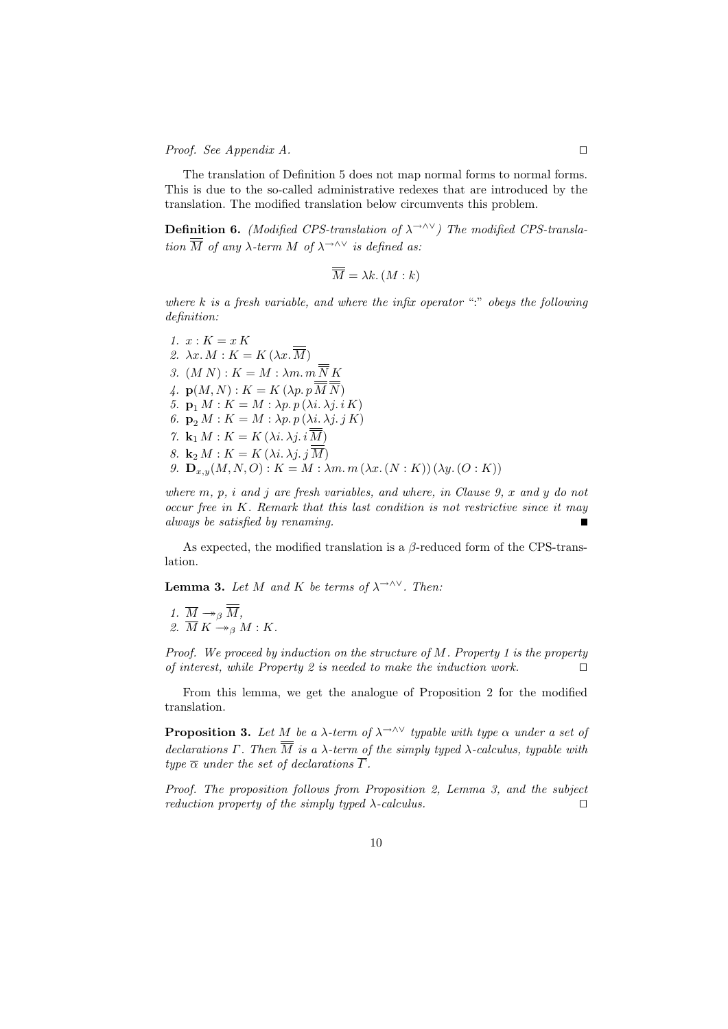*Proof.* See Appendix A.  $\Box$ 

The translation of Definition 5 does not map normal forms to normal forms. This is due to the so-called administrative redexes that are introduced by the translation. The modified translation below circumvents this problem.

**Definition 6.** (Modified CPS-translation of  $\lambda \rightarrow \lambda \vee$ ) The modified CPS-translation  $\overline{\overline{M}}$  of any  $\lambda$ -term M of  $\lambda$ <sup>→∧∨</sup> is defined as:

$$
\overline{M} = \lambda k. (M : k)
$$

where  $k$  is a fresh variable, and where the infix operator ":" obeys the following definition:

1.  $x: K = x K$ 2.  $\lambda x. M : K = K(\lambda x. \overline{M})$ 3.  $(M N)$ :  $K = M : \lambda m. m \overline{\overline{N}} K$ 4.  $\mathbf{p}(M, N): K = K(\lambda p. p \overline{\overline{M}} \overline{\overline{N}})$ 5.  $\mathbf{p}_1 M : K = M : \lambda p. p (\lambda i. \lambda j. i K)$ 6.  $\mathbf{p}_2 M : K = M : \lambda p. p (\lambda i. \lambda j. j K)$ 7.  $\mathbf{k}_1 M : K = K(\lambda i, \lambda j, i \overline{M})$ 8.  $\mathbf{k}_2 M : K = K(\lambda i, \lambda j, j\overline{M})$ 9.  $\mathbf{D}_{x,y}(M, N, O)$ :  $K = M : \lambda m. m (\lambda x. (N : K)) (\lambda y. (O : K))$ 

where  $m, p, i$  and j are fresh variables, and where, in Clause 9, x and y do not occur free in K. Remark that this last condition is not restrictive since it may always be satisfied by renaming. Ē

As expected, the modified translation is a  $\beta$ -reduced form of the CPS-translation.

**Lemma 3.** Let M and K be terms of  $\lambda \rightarrow \lambda \vee$ . Then:

1.  $\overline{M} \twoheadrightarrow_{\beta} \overline{\overline{M}}$ , 2.  $\overline{M} K \stackrel{\sim}{\rightarrow} g M : K$ .

Proof. We proceed by induction on the structure of  $M$ . Property 1 is the property of interest, while Property 2 is needed to make the induction work.  $\Box$ 

From this lemma, we get the analogue of Proposition 2 for the modified translation.

**Proposition 3.** Let M be a  $\lambda$ -term of  $\lambda$ <sup>→∧∨</sup> typable with type  $\alpha$  under a set of declarations Γ. Then  $\overline{\overline{M}}$  is a  $\lambda$ -term of the simply typed  $\lambda$ -calculus, typable with type  $\overline{\alpha}$  under the set of declarations  $\overline{\Gamma}$ .

Proof. The proposition follows from Proposition 2, Lemma 3, and the subject reduction property of the simply typed  $\lambda$ -calculus.  $\square$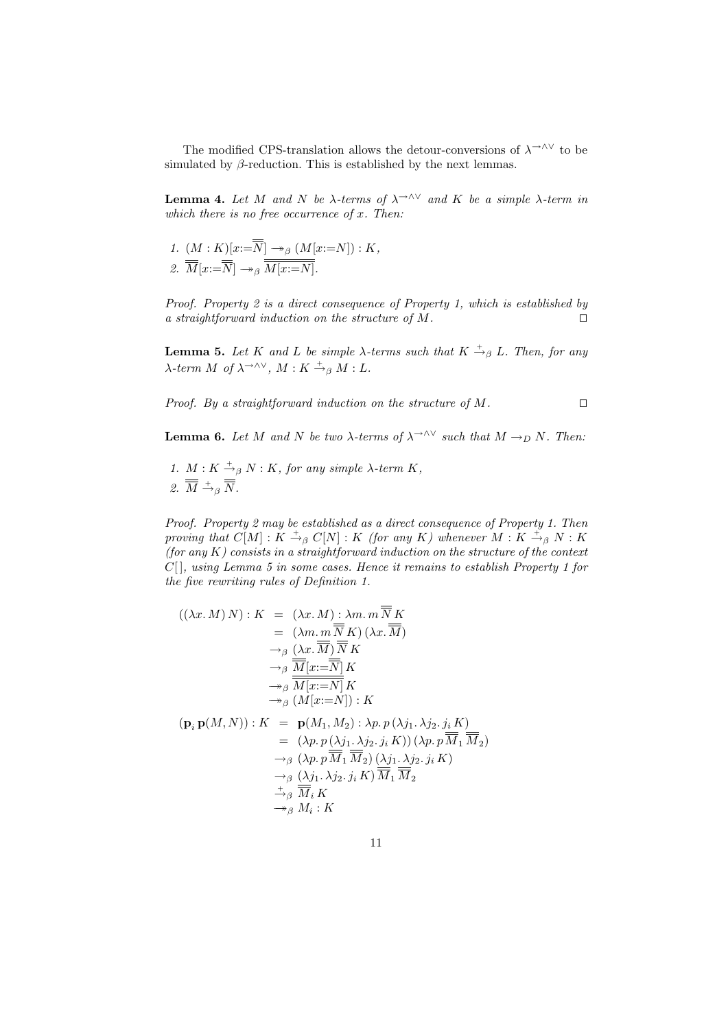The modified CPS-translation allows the detour-conversions of  $\lambda^{\rightarrow\wedge\vee}$  to be simulated by  $\beta$ -reduction. This is established by the next lemmas.

**Lemma 4.** Let M and N be  $\lambda$ -terms of  $\lambda \rightarrow \infty$  and K be a simple  $\lambda$ -term in which there is no free occurrence of  $x$ . Then:

1. 
$$
(M: K)[x:=\overline{N}] \rightarrow_{\beta} (M[x:=N]): K,
$$
  
2.  $\overline{M}[x:=\overline{N}] \rightarrow_{\beta} \overline{M[x:=N]}.$ 

Proof. Property 2 is a direct consequence of Property 1, which is established by a straightforward induction on the structure of M.  $\Box$ 

**Lemma 5.** Let K and L be simple  $\lambda$ -terms such that  $K \stackrel{+}{\rightarrow}_{\beta} L$ . Then, for any  $\lambda$ -term M of  $\lambda$ <sup>→∧∨</sup>,  $M: K \stackrel{+}{\rightarrow}_{\beta} M: L$ .

Proof. By a straightforward induction on the structure of  $M$ .

**Lemma 6.** Let M and N be two  $\lambda$ -terms of  $\lambda \rightarrow \wedge^{\vee}$  such that  $M \rightarrow_D N$ . Then:

1.  $M: K \stackrel{+}{\rightarrow}_{\beta} N: K$ , for any simple  $\lambda$ -term  $K$ , 2.  $\overline{M} \stackrel{+}{\rightarrow}_{\beta} \overline{N}$ .

Proof. Property 2 may be established as a direct consequence of Property 1. Then proving that  $C[M]: K \stackrel{+}{\rightarrow}_{\beta} C[N]: K$  (for any K) whenever  $M: K \stackrel{+}{\rightarrow}_{\beta} N: K$ (for any  $K$ ) consists in a straightforward induction on the structure of the context  $C[$ , using Lemma 5 in some cases. Hence it remains to establish Property 1 for the five rewriting rules of Definition 1.

$$
((\lambda x. M) N) : K = (\lambda x. M) : \lambda m. m \overline{N} K
$$
  
\n
$$
= (\lambda m. m \overline{N} K) (\lambda x. \overline{M})
$$
  
\n
$$
\rightarrow_{\beta} (\lambda x. \overline{M}) \overline{N} K
$$
  
\n
$$
\rightarrow_{\beta} \overline{M} [x := \overline{N}] K
$$
  
\n
$$
\rightarrow_{\beta} \overline{M} [x := N] K
$$
  
\n
$$
\rightarrow_{\beta} (M[x := N]) : K
$$
  
\n
$$
(\mathbf{p}_i \mathbf{p}(M, N)) : K = \mathbf{p}(M_1, M_2) : \lambda p. p (\lambda j_1. \lambda j_2. j_i K)
$$
  
\n
$$
= (\lambda p. p (\lambda j_1. \lambda j_2. j_i K)) (\lambda p. p \overline{M}_1 \overline{M}_2)
$$
  
\n
$$
\rightarrow_{\beta} (\lambda p. p \overline{M}_1 \overline{M}_2) (\lambda j_1. \lambda j_2. j_i K)
$$
  
\n
$$
\rightarrow_{\beta} (\lambda j_1. \lambda j_2. j_i K) \overline{M}_1 \overline{M}_2
$$
  
\n
$$
\rightarrow_{\beta} M_i : K
$$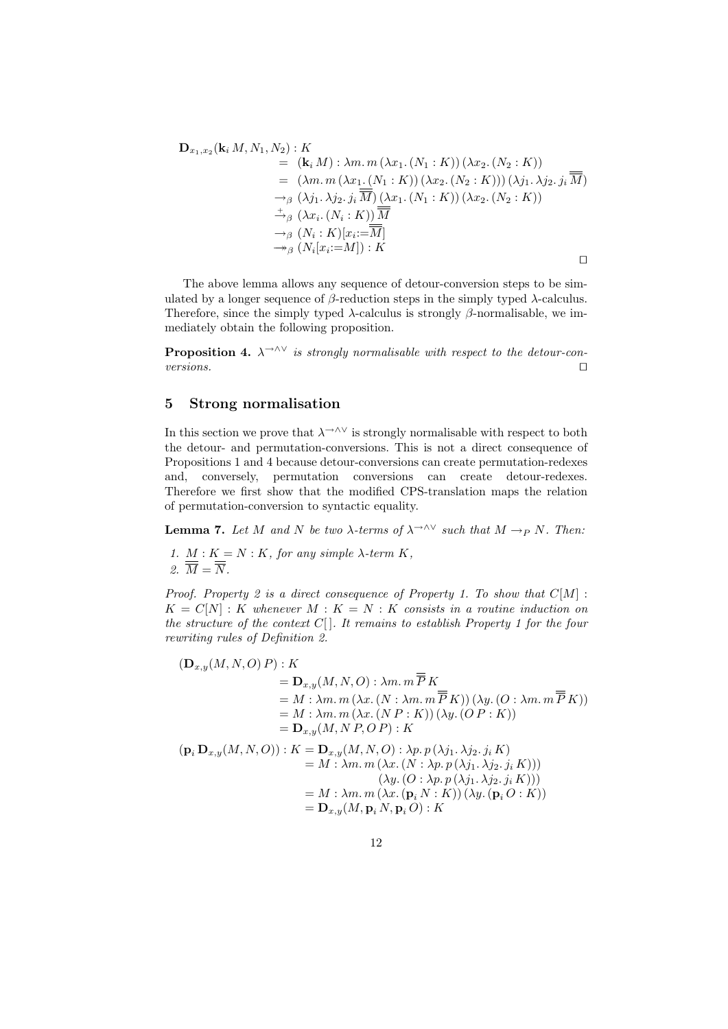$$
\mathbf{D}_{x_1,x_2}(\mathbf{k}_i M, N_1, N_2) : K
$$
  
\n
$$
= (\mathbf{k}_i M) : \lambda m. m (\lambda x_1. (N_1 : K)) (\lambda x_2. (N_2 : K))
$$
  
\n
$$
= (\lambda m. m (\lambda x_1. (N_1 : K)) (\lambda x_2. (N_2 : K))) (\lambda j_1. \lambda j_2. j_i \overline{M})
$$
  
\n
$$
\rightarrow_{\beta} (\lambda j_1. \lambda j_2. j_i \overline{M}) (\lambda x_1. (N_1 : K)) (\lambda x_2. (N_2 : K))
$$
  
\n
$$
\rightarrow_{\beta} (\lambda x_i. (N_i : K)) \overline{M}
$$
  
\n
$$
\rightarrow_{\beta} (N_i : K)[x_i := \overline{M}]
$$
  
\n
$$
\rightarrow_{\beta} (N_i[x_i := M]) : K
$$

The above lemma allows any sequence of detour-conversion steps to be simulated by a longer sequence of  $\beta$ -reduction steps in the simply typed  $\lambda$ -calculus. Therefore, since the simply typed  $\lambda$ -calculus is strongly  $\beta$ -normalisable, we immediately obtain the following proposition.

**Proposition 4.**  $\lambda \rightarrow \lambda \vee$  is strongly normalisable with respect to the detour-conversions.  $\Box$ 

## 5 Strong normalisation

In this section we prove that  $\lambda \rightarrow \lambda \vee$  is strongly normalisable with respect to both the detour- and permutation-conversions. This is not a direct consequence of Propositions 1 and 4 because detour-conversions can create permutation-redexes and, conversely, permutation conversions can create detour-redexes. Therefore we first show that the modified CPS-translation maps the relation of permutation-conversion to syntactic equality.

**Lemma 7.** Let M and N be two  $\lambda$ -terms of  $\lambda$ <sup>→∧∨</sup> such that  $M \rightarrow_P N$ . Then:

1.  $M: K = N: K$ , for any simple  $\lambda$ -term  $K$ , 2.  $\overline{\overline{M}} = \overline{\overline{N}}$ .

Proof. Property 2 is a direct consequence of Property 1. To show that  $C[M]$ :  $K = C[N] : K$  whenever  $M : K = N : K$  consists in a routine induction on the structure of the context  $C[$ . It remains to establish Property 1 for the four rewriting rules of Definition 2.

$$
(\mathbf{D}_{x,y}(M,N,O) P) : K
$$
  
\n
$$
= \mathbf{D}_{x,y}(M,N,O) : \lambda m. m \overline{P} K
$$
  
\n
$$
= M : \lambda m. m (\lambda x. (N : \lambda m. m \overline{P} K)) (\lambda y. (O : \lambda m. m \overline{P} K))
$$
  
\n
$$
= M : \lambda m. m (\lambda x. (N P : K)) (\lambda y. (O P : K))
$$
  
\n
$$
= \mathbf{D}_{x,y}(M,N P, O P) : K
$$
  
\n
$$
(\mathbf{p}_i \mathbf{D}_{x,y}(M,N,O)) : K = \mathbf{D}_{x,y}(M,N,O) : \lambda p. p(\lambda j_1. \lambda j_2. j_i K)
$$
  
\n
$$
= M : \lambda m. m (\lambda x. (N : \lambda p. p(\lambda j_1. \lambda j_2. j_i K)))
$$
  
\n
$$
(\lambda y. (O : \lambda p. p(\lambda j_1. \lambda j_2. j_i K)))
$$
  
\n
$$
= M : \lambda m. m (\lambda x. (\mathbf{p}_i N : K)) (\lambda y. (\mathbf{p}_i O : K))
$$
  
\n
$$
= \mathbf{D}_{x,y}(M, \mathbf{p}_i N, \mathbf{p}_i O) : K
$$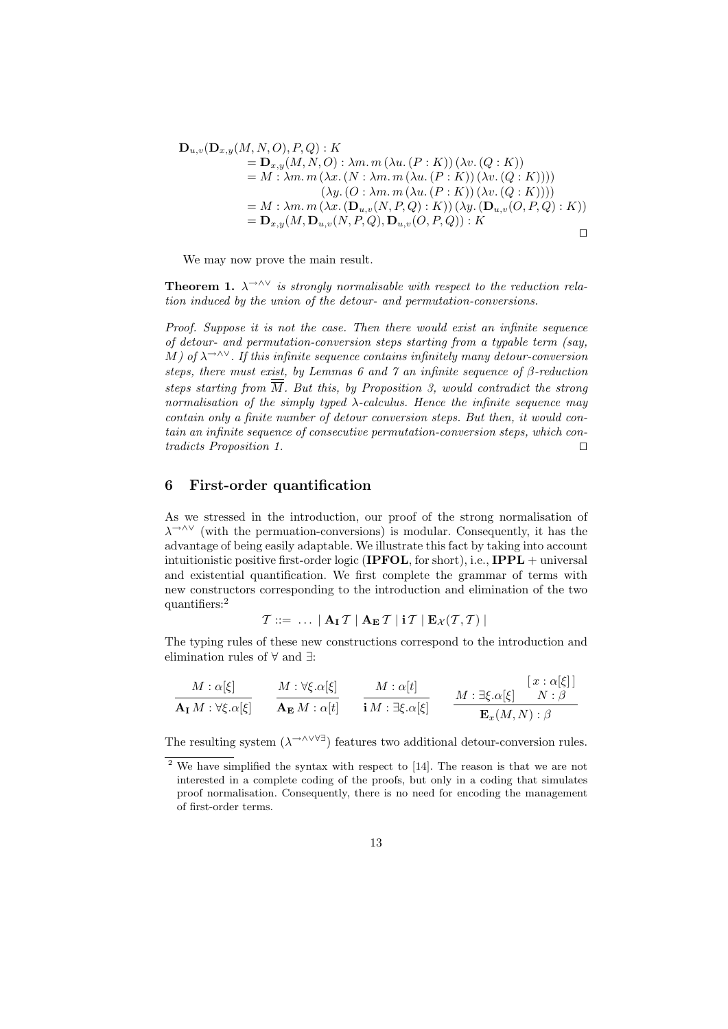$$
\mathbf{D}_{u,v}(\mathbf{D}_{x,y}(M, N, O), P, Q) : K \n= \mathbf{D}_{x,y}(M, N, O) : \lambda m. m (\lambda u. (P : K)) (\lambda v. (Q : K)) \n= M : \lambda m. m (\lambda x. (N : \lambda m. m (\lambda u. (P : K)) (\lambda v. (Q : K)))) \n(\lambda y. (O : \lambda m. m (\lambda u. (P : K)) (\lambda v. (Q : K)))) \n= M : \lambda m. m (\lambda x. (\mathbf{D}_{u,v}(N, P, Q) : K)) (\lambda y. (\mathbf{D}_{u,v}(O, P, Q) : K)) \n= \mathbf{D}_{x,y}(M, \mathbf{D}_{u,v}(N, P, Q), \mathbf{D}_{u,v}(O, P, Q)) : K
$$

We may now prove the main result.

**Theorem 1.**  $\lambda \rightarrow 0$ <sup>V</sup> is strongly normalisable with respect to the reduction relation induced by the union of the detour- and permutation-conversions.

Proof. Suppose it is not the case. Then there would exist an infinite sequence of detour- and permutation-conversion steps starting from a typable term (say, M) of  $\lambda \rightarrow \lambda \vee$ . If this infinite sequence contains infinitely many detour-conversion steps, there must exist, by Lemmas 6 and 7 an infinite sequence of β-reduction steps starting from  $\overline{M}$ . But this, by Proposition 3, would contradict the strong normalisation of the simply typed  $\lambda$ -calculus. Hence the infinite sequence may contain only a finite number of detour conversion steps. But then, it would contain an infinite sequence of consecutive permutation-conversion steps, which contradicts Proposition 1.  $\Box$ 

#### 6 First-order quantification

As we stressed in the introduction, our proof of the strong normalisation of λ→∧∨ (with the permuation-conversions) is modular. Consequently, it has the advantage of being easily adaptable. We illustrate this fact by taking into account intuitionistic positive first-order logic (IPFOL, for short), i.e.,  $IPPL$  + universal and existential quantification. We first complete the grammar of terms with new constructors corresponding to the introduction and elimination of the two quantifiers:<sup>2</sup>

$$
\mathcal{T} ::= \ \ldots \ | \ \mathbf{A}_\mathbf{I} \mathcal{T} \ | \ \mathbf{A}_\mathbf{E} \mathcal{T} \ | \ \mathbf{i} \mathcal{T} \ | \ \mathbf{E}_{\mathcal{X}}(\mathcal{T}, \mathcal{T}) \ |
$$

The typing rules of these new constructions correspond to the introduction and elimination rules of ∀ and ∃:

$$
\frac{M:\alpha[\xi]}{\mathbf{A_I} M:\forall \xi.\alpha[\xi]} \qquad \frac{M:\forall \xi.\alpha[\xi]}{\mathbf{A_E} M:\alpha[t]} \qquad \frac{M:\alpha[t]}{\mathbf{i} M:\exists \xi.\alpha[\xi]} \qquad \frac{M:\exists \xi.\alpha[\xi]}{\mathbf{E}_x (M,N):\beta}
$$

The resulting system  $(\lambda^{\rightarrow \wedge \vee \forall \exists})$  features two additional detour-conversion rules.

<sup>2</sup> We have simplified the syntax with respect to [14]. The reason is that we are not interested in a complete coding of the proofs, but only in a coding that simulates proof normalisation. Consequently, there is no need for encoding the management of first-order terms.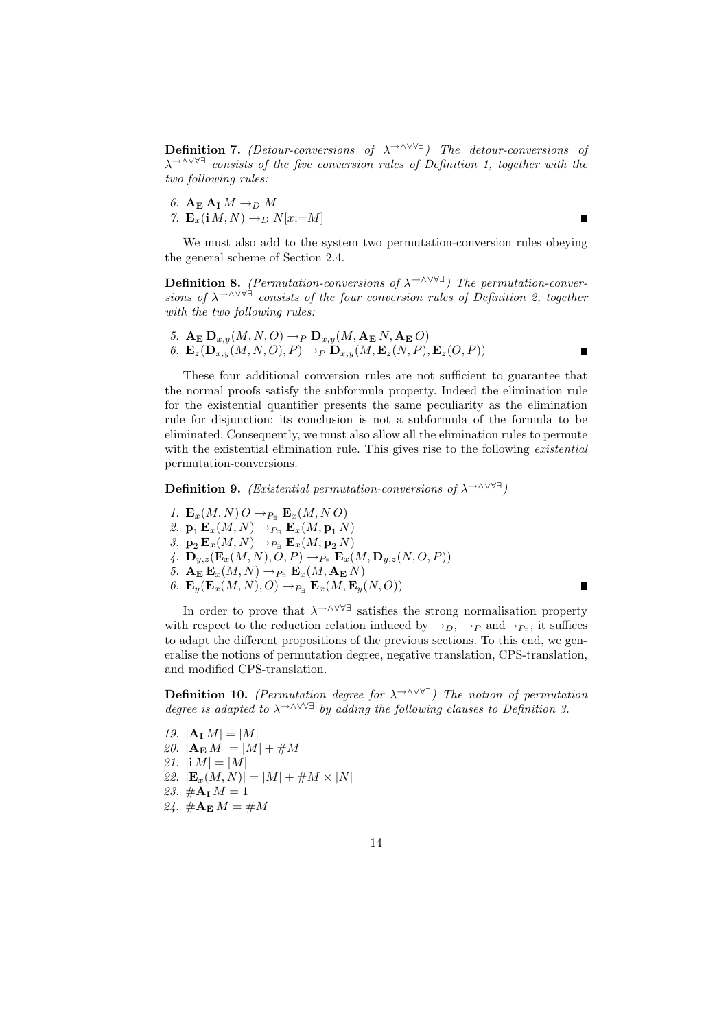Definition 7. (Detour-conversions of  $\lambda \rightarrow \wedge \vee \vee \exists$ ) The detour-conversions of  $\lambda$ <sup>→∧∨∀∃</sup> consists of the five conversion rules of Definition 1, together with the two following rules:

6.  $A_{E} A_{I} M \rightarrow_D M$ 7.  $\mathbf{E}_x(\mathbf{i} \, M, N) \rightarrow_D N[x := M]$ 

We must also add to the system two permutation-conversion rules obeying the general scheme of Section 2.4.

 $\blacksquare$ 

П

Г

**Definition 8.** (Permutation-conversions of  $\lambda \rightarrow \lambda \vee \forall \exists$ ) The permutation-conversions of  $\lambda$ <sup>→∧∨∀∃</sup> consists of the four conversion rules of Definition 2, together with the two following rules:

5. 
$$
\mathbf{A}_{\mathbf{E}} \mathbf{D}_{x,y}(M, N, O) \rightarrow_P \mathbf{D}_{x,y}(M, \mathbf{A}_{\mathbf{E}} N, \mathbf{A}_{\mathbf{E}} O)
$$
  
6.  $\mathbf{E}_z(\mathbf{D}_{x,y}(M, N, O), P) \rightarrow_P \mathbf{D}_{x,y}(M, \mathbf{E}_z(N, P), \mathbf{E}_z(O, P))$ 

These four additional conversion rules are not sufficient to guarantee that the normal proofs satisfy the subformula property. Indeed the elimination rule for the existential quantifier presents the same peculiarity as the elimination rule for disjunction: its conclusion is not a subformula of the formula to be eliminated. Consequently, we must also allow all the elimination rules to permute with the existential elimination rule. This gives rise to the following *existential* permutation-conversions.

**Definition 9.** (Existential permutation-conversions of  $\lambda$ <sup>→∧∨∀∃</sup>)

- 1.  $\mathbf{E}_x(M, N) O \rightarrow_{P_{\exists}} \mathbf{E}_x(M, N O)$
- 2.  $\mathbf{p}_1 \mathbf{E}_x(M, N) \rightarrow_{P_{\exists}} \mathbf{E}_x(M, \mathbf{p}_1(N))$
- 3.  $\mathbf{p}_2 \mathbf{E}_x(M,N) \rightarrow_{P_{\exists}} \mathbf{E}_x(M, \mathbf{p}_2 N)$
- 4.  $\mathbf{D}_{y,z}(\mathbf{E}_x(M,N),O,P) \rightarrow_{P_{\exists}} \mathbf{E}_x(M,\mathbf{D}_{y,z}(N,O,P))$
- 5.  $\mathbf{A_E} \mathbf{E}_x(M, N) \rightarrow_{P_{\exists}} \mathbf{E}_x(M, \mathbf{A_E} N)$
- 6.  $\mathbf{E}_y(\mathbf{E}_x(M,N),O) \rightarrow_{P_{\exists}} \mathbf{E}_x(M,\mathbf{E}_y(N,O))$

In order to prove that  $\lambda \rightarrow \lambda \vee \forall \exists$  satisfies the strong normalisation property with respect to the reduction relation induced by  $\rightarrow_D, \rightarrow_P$  and $\rightarrow_{P_{\exists}}$ , it suffices to adapt the different propositions of the previous sections. To this end, we generalise the notions of permutation degree, negative translation, CPS-translation, and modified CPS-translation.

**Definition 10.** (Permutation degree for  $\lambda \rightarrow \lambda \vee \forall \exists$ ) The notion of permutation degree is adapted to  $\lambda \rightarrow \wedge \vee \vee \exists$  by adding the following clauses to Definition 3.

- 19.  $|{\bf A}_{\bf I} M| = |M|$
- 20.  $|\mathbf{A}_{\mathbf{E}} M| = |M| + \#M$
- 21.  $|i M| = |M|$
- 22.  $|\mathbf{E}_x(M,N)| = |M| + \#M \times |N|$
- 23.  $\#A_I M = 1$
- 24.  $\#A_{E} M = \#M$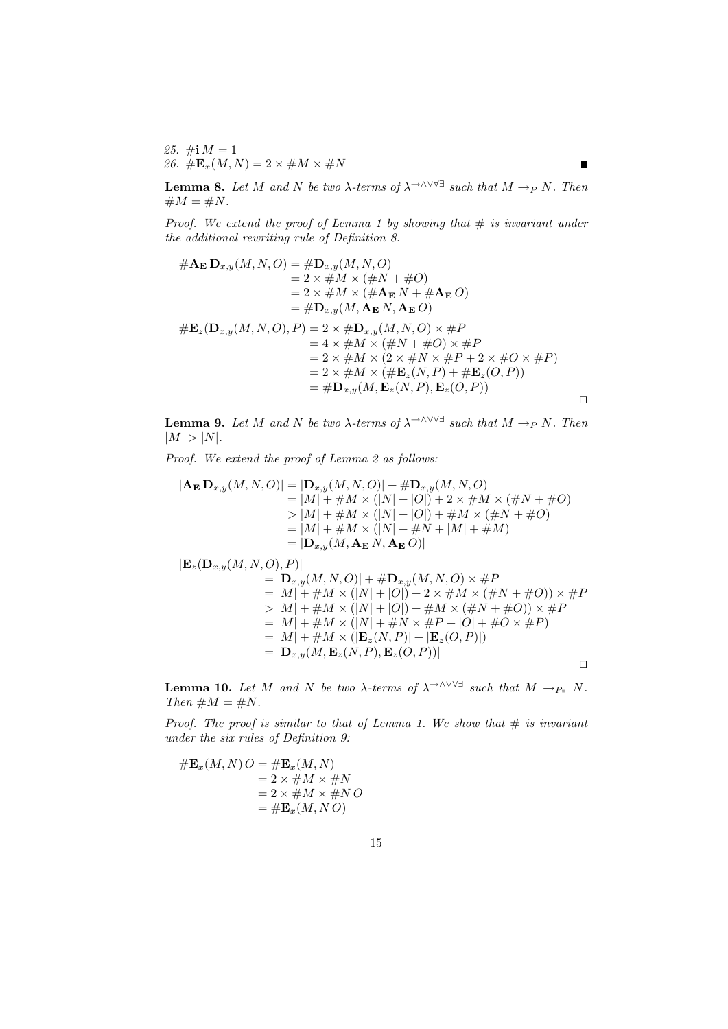25.  $\#$ **i**  $M = 1$ 26.  $\#\mathbf{E}_x(M,N) = 2 \times \#M \times \#N$ 

**Lemma 8.** Let M and N be two  $\lambda$ -terms of  $\lambda \rightarrow \lambda \vee \forall \exists$  such that  $M \rightarrow_P N$ . Then  $\#M = \#N$ .

П

Proof. We extend the proof of Lemma 1 by showing that  $\#$  is invariant under the additional rewriting rule of Definition 8.

$$
#A_{\mathbf{E}} \mathbf{D}_{x,y}(M, N, O) = #\mathbf{D}_{x,y}(M, N, O) \n= 2 \times #M \times (#N + #O) \n= 2 \times #M \times (#A_{\mathbf{E}} N + #A_{\mathbf{E}} O) \n= #\mathbf{D}_{x,y}(M, \mathbf{A}_{\mathbf{E}} N, \mathbf{A}_{\mathbf{E}} O) \n#E_z(\mathbf{D}_{x,y}(M, N, O), P) = 2 \times #\mathbf{D}_{x,y}(M, N, O) \times #P \n= 4 \times #M \times (#N + #O) \times #P \n= 2 \times #M \times (2 \times #N \times #P + 2 \times #O \times #P) \n= 2 \times #M \times (#E_z(N, P) + #E_z(O, P)) \n= #\mathbf{D}_{x,y}(M, \mathbf{E}_z(N, P), \mathbf{E}_z(O, P))
$$

**Lemma 9.** Let M and N be two  $\lambda$ -terms of  $\lambda$ <sup>→∧∨∀∃</sup> such that  $M \rightarrow_P N$ . Then  $|M| > |N|$ .

Proof. We extend the proof of Lemma 2 as follows:

$$
|\mathbf{A}_{\mathbf{E}} \mathbf{D}_{x,y}(M, N, O)| = |\mathbf{D}_{x,y}(M, N, O)| + \# \mathbf{D}_{x,y}(M, N, O)
$$
  
\n
$$
= |M| + \#M \times (|N| + |O|) + 2 \times \#M \times (\#N + \#O)
$$
  
\n
$$
> |M| + \#M \times (|N| + |O|) + \#M \times (\#N + \#O)
$$
  
\n
$$
= |M| + \#M \times (|N| + \#N + |M| + \#M)
$$
  
\n
$$
= |\mathbf{D}_{x,y}(M, \mathbf{A}_{\mathbf{E}} N, \mathbf{A}_{\mathbf{E}} O)|
$$

 $|\mathbf{E}_z(\mathbf{D}_{x,y}(M,N,O), P)|$  $= |D_{x,y}(M, N, O)| + \#D_{x,y}(M, N, O) \times \#P$  $= |M| + \#M \times (|N| + |O|) + 2 \times \#M \times (\#N + \#O)) \times \#P$  $> |M| + \#M \times (|N| + |O|) + \#M \times (\#N + \#O)) \times \#P$  $= |M| + \#M \times (|N| + \#N \times \#P + |O| + \#O \times \#P)$  $= |M| + #M \times (|\mathbf{E}_z(N, P)| + |\mathbf{E}_z(O, P)|)$  $= |\mathbf{D}_{x,y}(M,\mathbf{E}_z(N,P),\mathbf{E}_z(O,P))|$  $\Box$ 

**Lemma 10.** Let M and N be two  $\lambda$ -terms of  $\lambda \rightarrow 0$  such that  $M \rightarrow_{P_{\exists}} N$ . Then  $\#M = \#N$ .

Proof. The proof is similar to that of Lemma 1. We show that  $\#$  is invariant under the six rules of Definition 9:

$$
\# \mathbf{E}_x(M, N) O = \# \mathbf{E}_x(M, N)
$$
  
= 2 \times \# M \times \# N  
= 2 \times \# M \times \# N O  
= \# \mathbf{E}\_x(M, N O)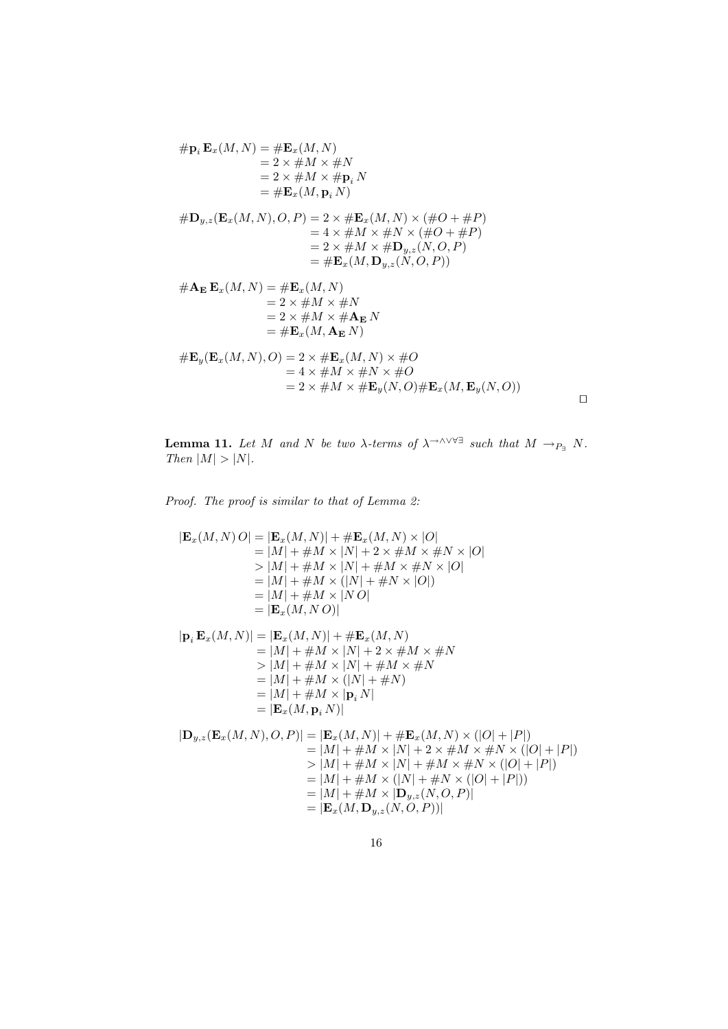$$
\# \mathbf{p}_i \mathbf{E}_x(M, N) = \# \mathbf{E}_x(M, N) \n= 2 \times \# M \times \# N \n= 2 \times \# M \times \# \mathbf{p}_i N \n= \# \mathbf{E}_x(M, \mathbf{p}_i N) \n\# \mathbf{D}_{y,z}(\mathbf{E}_x(M, N), O, P) = 2 \times \# \mathbf{E}_x(M, N) \times (\# O + \# P) \n= 4 \times \# M \times \# N \times (\# O + \# P) \n= 2 \times \# M \times \# \mathbf{D}_{y,z}(N, O, P) \n= \# \mathbf{E}_x(M, \mathbf{D}_{y,z}(N, O, P)) \n\# \mathbf{A}_{\mathbf{E}} \mathbf{E}_x(M, N) = \# \mathbf{E}_x(M, N) \n= 2 \times \# M \times \# N \n= 2 \times \# M \times \# \mathbf{A}_{\mathbf{E}} N \n= \# \mathbf{E}_x(M, \mathbf{A}_{\mathbf{E}} N) \n\# \mathbf{E}_y(\mathbf{E}_x(M, N), O) = 2 \times \# \mathbf{E}_x(M, N) \times \# O \n= 4 \times \# M \times \# N \times \# O \n= 4 \times \# M \times \# \mathbf{E}_y(N, O) \# \mathbf{E}_x(M, \mathbf{E}_y(N, O))
$$

**Lemma 11.** Let M and N be two  $\lambda$ -terms of  $\lambda \rightarrow 0$  such that  $M \rightarrow_{P_{\exists}} N$ . Then  $|M| > |N|$ .

 $\Box$ 

Proof. The proof is similar to that of Lemma 2:

$$
|\mathbf{E}_x(M, N) O| = |\mathbf{E}_x(M, N)| + \# \mathbf{E}_x(M, N) \times |O|
$$
  
\n
$$
= |M| + \#M \times |N| + 2 \times \#M \times \#N \times |O|
$$
  
\n
$$
> |M| + \#M \times |N| + \#M \times \#N \times |O|
$$
  
\n
$$
= |M| + \#M \times (|N| + \#N \times |O|)
$$
  
\n
$$
= |M| + \#M \times |N O|
$$
  
\n
$$
= |\mathbf{E}_x(M, N) \times |O|
$$
  
\n
$$
|\mathbf{p}_i \mathbf{E}_x(M, N)| = |\mathbf{E}_x(M, N)| + \# \mathbf{E}_x(M, N)
$$
  
\n
$$
= |M| + \#M \times |N| + 2 \times \#M \times \#N
$$
  
\n
$$
> |M| + \#M \times |N| + \#M \times \#N
$$
  
\n
$$
= |M| + \#M \times (|N| + \#N)
$$
  
\n
$$
= |M| + \#M \times |N|
$$
  
\n
$$
= |\mathbf{E}_x(M, \mathbf{p}_i N)|
$$
  
\n
$$
|\mathbf{D}_{y,z}(\mathbf{E}_x(M, N), O, P)| = |\mathbf{E}_x(M, N)| + \# \mathbf{E}_x(M, N) \times (|O| + |P|)
$$
  
\n
$$
= |M| + \#M \times |N| + 2 \times \#M \times \#N \times (|O| + |P|)
$$
  
\n
$$
> |M| + \#M \times |N| + \#M \times \#N \times (|O| + |P|)
$$
  
\n
$$
= |M| + \#M \times (|N| + \#N \times (|O| + |P|))
$$
  
\n
$$
= |M| + \#M \times |\mathbf{D}_{y,z}(N, O, P)|
$$
  
\n
$$
= |\mathbf{E}_x(M, \mathbf{D}_{y,z}(N, O, P))|
$$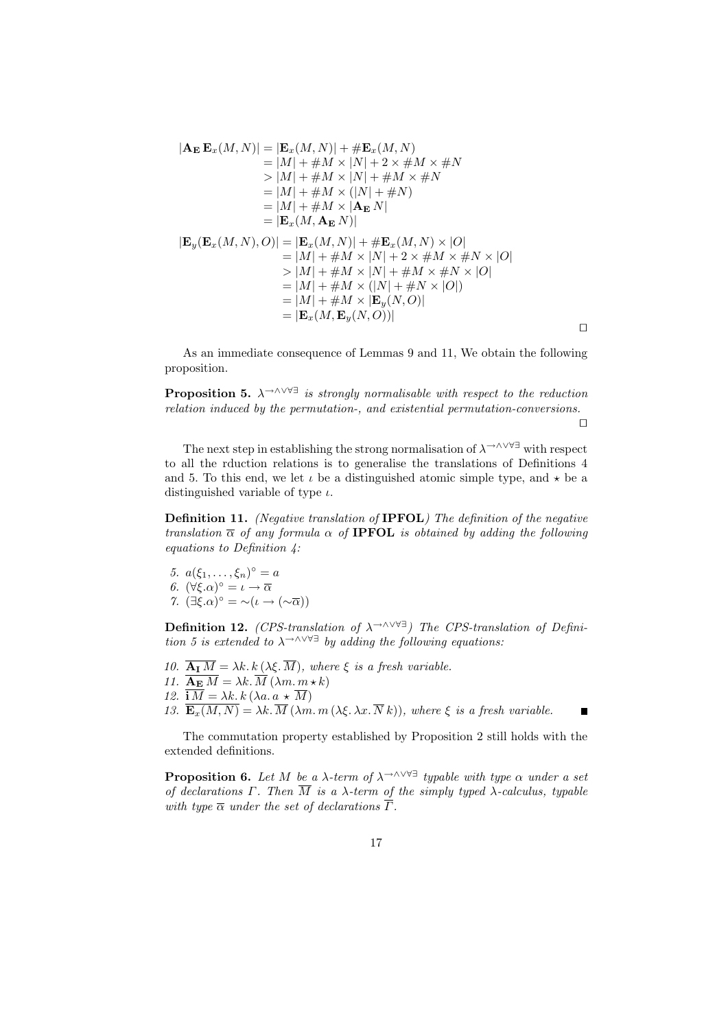$$
|\mathbf{A}_{\mathbf{E}} \mathbf{E}_{x}(M, N)| = |\mathbf{E}_{x}(M, N)| + \# \mathbf{E}_{x}(M, N)
$$
  
\n
$$
= |M| + \#M \times |N| + 2 \times \#M \times \#N
$$
  
\n
$$
> |M| + \#M \times |N| + \#M \times \#N
$$
  
\n
$$
= |M| + \#M \times (|N| + \#N)
$$
  
\n
$$
= |M| + \#M \times |\mathbf{A}_{\mathbf{E}} N|
$$
  
\n
$$
= |\mathbf{E}_{x}(M, \mathbf{A}_{\mathbf{E}} N)|
$$
  
\n
$$
|\mathbf{E}_{y}(\mathbf{E}_{x}(M, N), O)| = |\mathbf{E}_{x}(M, N)| + \# \mathbf{E}_{x}(M, N) \times |O|
$$
  
\n
$$
= |M| + \#M \times |N| + 2 \times \#M \times \#N \times |O|
$$
  
\n
$$
= |M| + \#M \times |N| + \#M \times \#N \times |O|
$$
  
\n
$$
= |M| + \#M \times (|N| + \#N \times |O|)
$$
  
\n
$$
= |M| + \#M \times |\mathbf{E}_{y}(N, O)|
$$
  
\n
$$
= |\mathbf{E}_{x}(M, \mathbf{E}_{y}(N, O))|
$$

As an immediate consequence of Lemmas 9 and 11, We obtain the following proposition.

**Proposition 5.**  $\lambda \rightarrow \lambda \vee \forall \exists$  is strongly normalisable with respect to the reduction relation induced by the permutation-, and existential permutation-conversions.

 $\Box$ 

 $\blacksquare$ 

The next step in establishing the strong normalisation of  $\lambda \rightarrow \wedge \vee \forall \exists$  with respect to all the rduction relations is to generalise the translations of Definitions 4 and 5. To this end, we let  $\iota$  be a distinguished atomic simple type, and  $\star$  be a distinguished variable of type  $\iota$ .

Definition 11. (Negative translation of IPFOL) The definition of the negative translation  $\overline{\alpha}$  of any formula  $\alpha$  of **IPFOL** is obtained by adding the following equations to Definition 4:

- 5.  $a(\xi_1, ..., \xi_n)^\circ = a$ 6.  $(\forall \xi \cdot \alpha)^{\circ} = \iota \rightarrow \overline{\alpha}$
- 7.  $(\exists \xi \cdot \alpha)^{\circ} = \neg(\iota \rightarrow (\neg \overline{\alpha}))$

**Definition 12.** (CPS-translation of  $\lambda \rightarrow \wedge \vee \vee \exists$ ) The CPS-translation of Definition 5 is extended to  $\lambda^{\to \wedge \vee \forall \exists}$  by adding the following equations:

- 10.  $\overline{\mathbf{A}_I M} = \lambda k \cdot k \left( \lambda \xi \cdot \overline{M} \right)$ , where  $\xi$  is a fresh variable.
- 11.  $\overline{\mathbf{A_E} M} = \lambda k \cdot \overline{M} (\lambda m \cdot m \cdot k)$
- 12.  $\overline{\mathbf{i} M} = \lambda k \cdot k (\lambda a \cdot a \star \overline{M})$

13.  $\overline{\mathbf{E}_{x}(M,N)} = \lambda k \cdot \overline{M} (\lambda m \cdot m (\lambda \xi, \lambda x \cdot \overline{N} k))$ , where  $\xi$  is a fresh variable.

The commutation property established by Proposition 2 still holds with the extended definitions.

**Proposition 6.** Let M be a  $\lambda$ -term of  $\lambda$ <sup>→∧∨∀∃</sup> typable with type  $\alpha$  under a set of declarations Γ. Then  $\overline{M}$  is a  $\lambda$ -term of the simply typed  $\lambda$ -calculus, typable with type  $\overline{\alpha}$  under the set of declarations  $\overline{\Gamma}$ .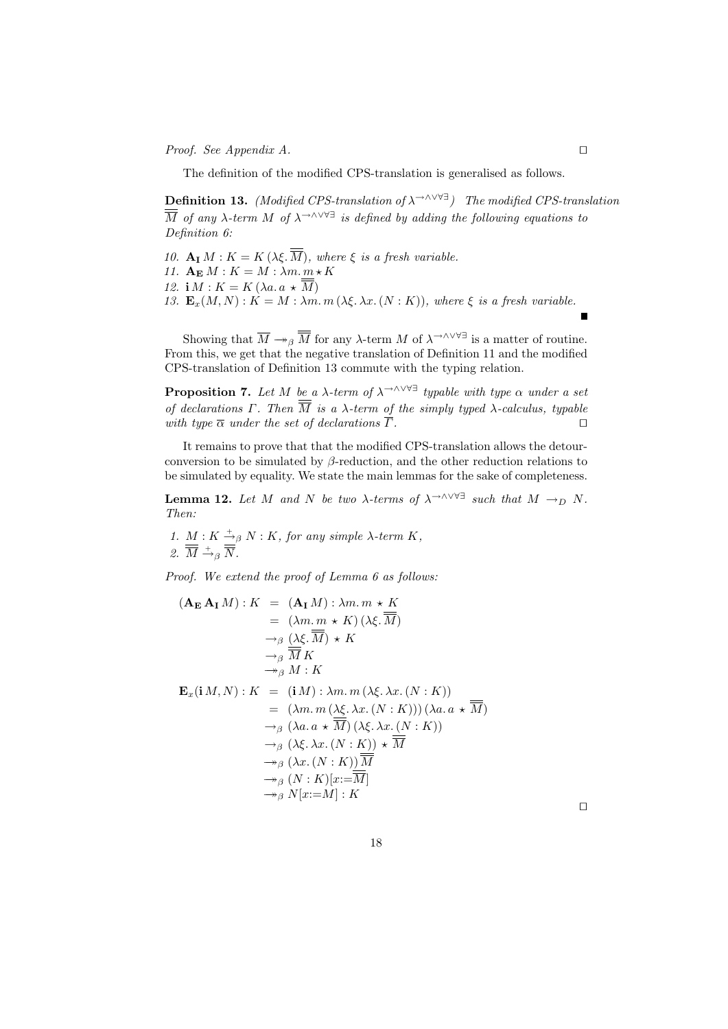*Proof.* See Appendix A.  $\Box$ 

The definition of the modified CPS-translation is generalised as follows.

**Definition 13.** (Modified CPS-translation of  $\lambda \rightarrow \lambda \vee \forall \exists$ ) The modified CPS-translation  $\overline{\overline{M}}$  of any  $\lambda$ -term M of  $\lambda$ <sup>→∧∨∀∃</sup> is defined by adding the following equations to Definition 6:

- 10.  $\mathbf{A}_{\mathbf{I}} M : K = K(\lambda \xi, M)$ , where  $\xi$  is a fresh variable.
- 11.  $\mathbf{A}_{\mathbf{E}} M : K = M : \lambda m \cdot \underline{m} * K$
- 12. i  $M : K = K(\lambda a. a \star \overline{M})$
- 13.  $\mathbf{E}_x(M, N) : K = M : \lambda m \cdot m \ (\lambda \xi, \lambda x \cdot (N : K)),$  where  $\xi$  is a fresh variable.

Showing that  $\overline{M} \twoheadrightarrow_{\beta} \overline{\overline{M}}$  for any  $\lambda$ -term M of  $\lambda \rightarrow \wedge \vee \vee \exists$  is a matter of routine. From this, we get that the negative translation of Definition 11 and the modified CPS-translation of Definition 13 commute with the typing relation.

**Proposition 7.** Let M be a  $\lambda$ -term of  $\lambda$ <sup>→∧∨∀∃</sup> typable with type  $\alpha$  under a set of declarations  $\Gamma$ . Then  $\overline{\overline{M}}$  is a  $\lambda$ -term of the simply typed  $\lambda$ -calculus, typable with type  $\overline{\alpha}$  under the set of declarations  $\overline{\Gamma}$ .

It remains to prove that that the modified CPS-translation allows the detourconversion to be simulated by  $\beta$ -reduction, and the other reduction relations to be simulated by equality. We state the main lemmas for the sake of completeness.

**Lemma 12.** Let M and N be two  $\lambda$ -terms of  $\lambda$ <sup>→∧∨∀∃</sup> such that  $M \rightarrow_D N$ . Then:

1.  $M: K \stackrel{+}{\rightarrow}_{\beta} N: K$ , for any simple  $\lambda$ -term  $K$ , 2.  $\overline{M} \stackrel{+}{\rightarrow}_{\beta} \overline{N}$ .

Proof. We extend the proof of Lemma 6 as follows:

$$
(\mathbf{A}_{\mathbf{E}} \mathbf{A}_{\mathbf{I}} M) : K = (\mathbf{A}_{\mathbf{I}} M) : \lambda m. m * K
$$
  
\n
$$
= (\lambda m. m * K) (\lambda \xi. \overline{M})
$$
  
\n
$$
\rightarrow_{\beta} (\lambda \xi. \overline{M}) * K
$$
  
\n
$$
\rightarrow_{\beta} \overline{M} K
$$
  
\n
$$
\rightarrow_{\beta} M : K
$$
  
\n
$$
\mathbf{E}_x (\mathbf{i} M, N) : K = (\mathbf{i} M) : \lambda m. m (\lambda \xi. \lambda x. (N : K))
$$
  
\n
$$
= (\lambda m. m (\lambda \xi. \lambda x. (N : K))) (\lambda a. a * \overline{M})
$$
  
\n
$$
\rightarrow_{\beta} (\lambda a. a * \overline{M}) (\lambda \xi. \lambda x. (N : K))
$$
  
\n
$$
\rightarrow_{\beta} (\lambda \xi. \lambda x. (N : K)) * \overline{M}
$$
  
\n
$$
\rightarrow_{\beta} (\lambda x. (N : K)) \overline{\overline{M}}
$$
  
\n
$$
\rightarrow_{\beta} (N : K)[x := \overline{M}]
$$
  
\n
$$
\rightarrow_{\beta} N[x := M] : K
$$

 $\Box$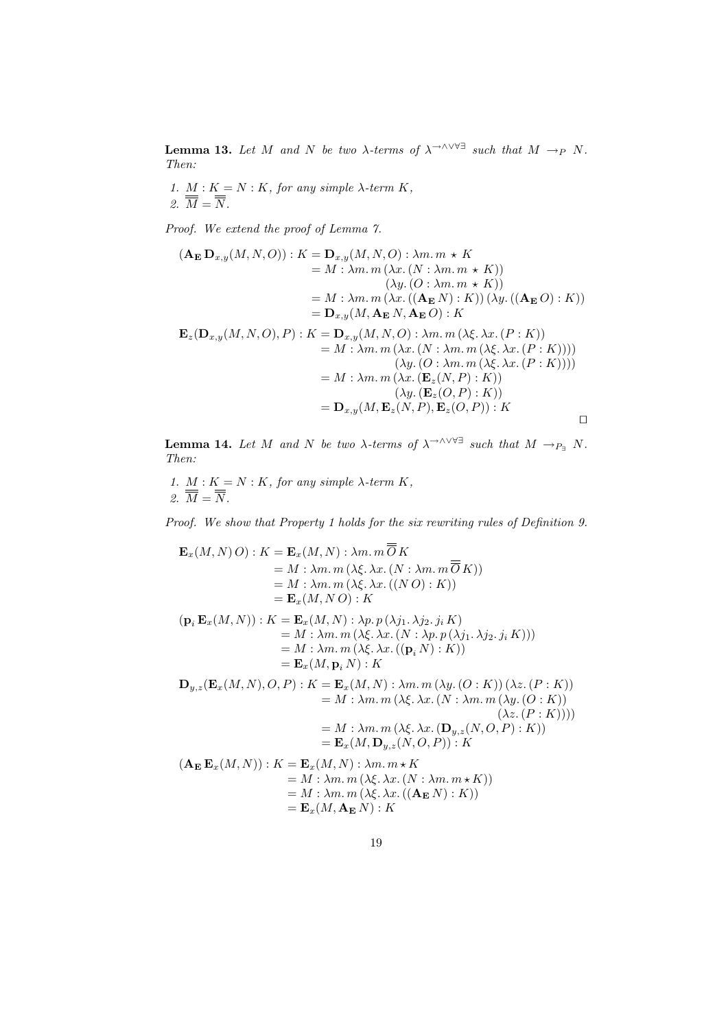**Lemma 13.** Let M and N be two  $\lambda$ -terms of  $\lambda$ <sup>→∧∨∀∃</sup> such that  $M \rightarrow_P N$ . Then:

1.  $M: K = N: K$ , for any simple  $\lambda$ -term  $K$ , 2.  $M = N$ .

Proof. We extend the proof of Lemma 7.

$$
(\mathbf{A}_{\mathbf{E}} \mathbf{D}_{x,y}(M,N,O)) : K = \mathbf{D}_{x,y}(M,N,O) : \lambda m. m \star K
$$
  
\n
$$
= M : \lambda m. m (\lambda x. (N : \lambda m. m \star K))
$$
  
\n
$$
(\lambda y. (O : \lambda m. m \star K))
$$
  
\n
$$
= M : \lambda m. m (\lambda x. ((\mathbf{A}_{\mathbf{E}} N) : K)) (\lambda y. ((\mathbf{A}_{\mathbf{E}} O) : K))
$$
  
\n
$$
= \mathbf{D}_{x,y}(M, \mathbf{A}_{\mathbf{E}} N, \mathbf{A}_{\mathbf{E}} O) : K
$$
  
\n
$$
\mathbf{E}_{z}(\mathbf{D}_{x,y}(M,N,O), P) : K = \mathbf{D}_{x,y}(M,N,O) : \lambda m. m (\lambda \xi. \lambda x. (P : K))
$$
  
\n
$$
= M : \lambda m. m (\lambda x. (N : \lambda m. m (\lambda \xi. \lambda x. (P : K))))
$$
  
\n
$$
(\lambda y. (O : \lambda m. m (\lambda \xi. \lambda x. (P : K))))
$$
  
\n
$$
= M : \lambda m. m (\lambda x. (\mathbf{E}_{z}(N, P) : K))
$$
  
\n
$$
(\lambda y. (\mathbf{E}_{z}(O, P) : K))
$$
  
\n
$$
= \mathbf{D}_{x,y}(M, \mathbf{E}_{z}(N, P), \mathbf{E}_{z}(O, P)) : K
$$

**Lemma 14.** Let M and N be two  $\lambda$ -terms of  $\lambda$ <sup>→∧∨∀∃</sup> such that  $M \to_{P_{\exists}} N$ . Then:

1.  $M: K = N: K$ , for any simple  $\lambda$ -term  $K$ , 2.  $\overline{M} = \overline{N}$ .

Proof. We show that Property 1 holds for the six rewriting rules of Definition 9.

 $\equiv$ 

$$
\mathbf{E}_x(M, N) O) : K = \mathbf{E}_x(M, N) : \lambda m. m O K
$$
  
\n
$$
= M : \lambda m. m (\lambda \xi. \lambda x. (N : \lambda m. m \overline{O} K))
$$
  
\n
$$
= M : \lambda m. m (\lambda \xi. \lambda x. ((N O) : K))
$$
  
\n
$$
= \mathbf{E}_x(M, N O) : K
$$
  
\n
$$
(\mathbf{p}_i \mathbf{E}_x(M, N)) : K = \mathbf{E}_x(M, N) : \lambda p. p (\lambda j_1. \lambda j_2. j_i K)
$$
  
\n
$$
= M : \lambda m. m (\lambda \xi. \lambda x. (N : \lambda p. p (\lambda j_1. \lambda j_2. j_i K)))
$$
  
\n
$$
= M : \lambda m. m (\lambda \xi. \lambda x. ((\mathbf{p}_i N) : K))
$$
  
\n
$$
= \mathbf{E}_x(M, \mathbf{p}_i N) : K
$$
  
\n
$$
\mathbf{D}_{y,z}(\mathbf{E}_x(M, N), O, P) : K = \mathbf{E}_x(M, N) : \lambda m. m (\lambda y. (O : K)) (\lambda z. (P : K))
$$
  
\n
$$
= M : \lambda m. m (\lambda \xi. \lambda x. (\mathbf{D}_{y,z}(N, O, P) : K))
$$
  
\n
$$
= M : \lambda m. m (\lambda \xi. \lambda x. (\mathbf{D}_{y,z}(N, O, P) : K))
$$
  
\n
$$
= \mathbf{E}_x(M, \mathbf{D}_{y,z}(N, O, P)) : K
$$
  
\n
$$
(\mathbf{A}_{\mathbf{E}} \mathbf{E}_x(M, N)) : K = \mathbf{E}_x(M, N) : \lambda m. m \star K
$$
  
\n
$$
= M : \lambda m. m (\lambda \xi. \lambda x. (N : \lambda m. m \star K))
$$
  
\n
$$
= M : \lambda m. m (\lambda \xi. \lambda x. ((\mathbf{A}_{\mathbf{E}} N) : K))
$$
  
\n
$$
= \mathbf{E}_x(M, \mathbf{A}_{\mathbf{E}} N) : K
$$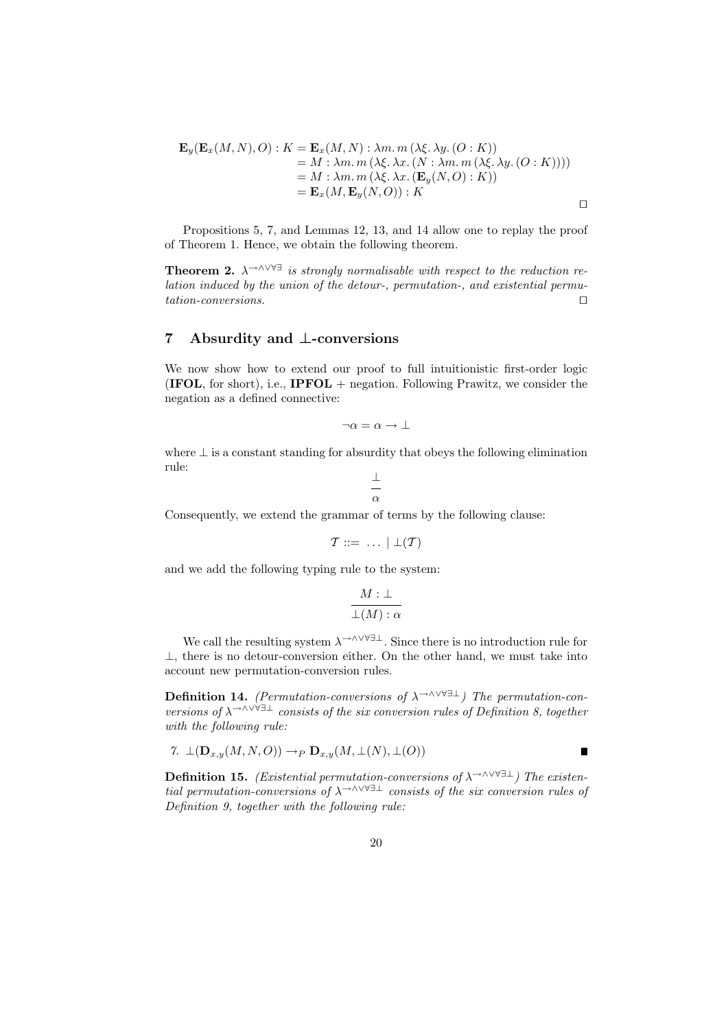$$
\mathbf{E}_y(\mathbf{E}_x(M, N), O) : K = \mathbf{E}_x(M, N) : \lambda m. m (\lambda \xi. \lambda y. (O : K))
$$
  
= M : \lambda m. m (\lambda \xi. \lambda x. (N : \lambda m. m (\lambda \xi. \lambda y. (O : K))))  
= M : \lambda m. m (\lambda \xi. \lambda x. (\mathbf{E}\_y(N, O) : K))  
= \mathbf{E}\_x(M, \mathbf{E}\_y(N, O)) : K

Propositions 5, 7, and Lemmas 12, 13, and 14 allow one to replay the proof of Theorem 1. Hence, we obtain the following theorem.

**Theorem 2.**  $\lambda$ <sup>→∧∨∀∃</sup> is strongly normalisable with respect to the reduction relation induced by the union of the detour-, permutation-, and existential permu $tation-conversions.$ 

## 7 Absurdity and ⊥-conversions

We now show how to extend our proof to full intuitionistic first-order logic **(IFOL,** for short), i.e., **IPFOL** + negation. Following Prawitz, we consider the negation as a defined connective:

$$
\neg \alpha = \alpha \to \bot
$$

where  $\perp$  is a constant standing for absurdity that obeys the following elimination rule:

$$
\frac{\bot}{\alpha}
$$

Consequently, we extend the grammar of terms by the following clause:

$$
\mathcal{T} ::= \ \ldots \ | \ \bot(\mathcal{T})
$$

and we add the following typing rule to the system:

$$
\frac{M:\bot}{\bot(M):\alpha}
$$

We call the resulting system  $\lambda \rightarrow \wedge \vee \vee \exists \bot$ . Since there is no introduction rule for ⊥, there is no detour-conversion either. On the other hand, we must take into account new permutation-conversion rules.

Definition 14. (Permutation-conversions of  $\lambda$ <sup>→∧∨∀∃⊥</sup>) The permutation-conversions of  $\lambda$ <sup>→∧∨∀∃⊥</sup> consists of the six conversion rules of Definition 8, together with the following rule:

7. 
$$
\perp(\mathbf{D}_{x,y}(M,N,O)) \rightarrow_P \mathbf{D}_{x,y}(M,\perp(N),\perp(O))
$$

**Definition 15.** (Existential permutation-conversions of  $\lambda \rightarrow \wedge \vee \forall \exists \bot$ ) The existential permutation-conversions of  $\lambda$ <sup>→∧∨∀∃⊥</sup> consists of the six conversion rules of Definition 9, together with the following rule:

 $\blacksquare$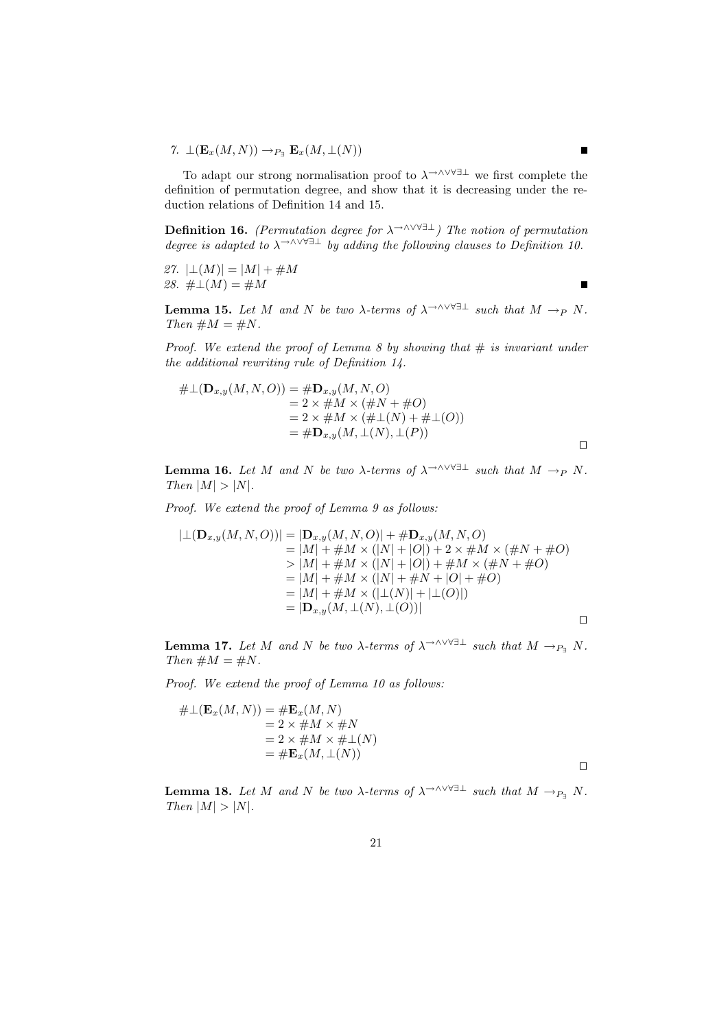7.  $\perp (\mathbf{E}_x(M,N)) \to_{P_{\exists}} \mathbf{E}_x(M,\perp(N))$ 

To adapt our strong normalisation proof to  $\lambda$ <sup>→∧∨∀∃⊥</sup> we first complete the definition of permutation degree, and show that it is decreasing under the reduction relations of Definition 14 and 15.

**Definition 16.** (Permutation degree for  $\lambda \rightarrow \lambda \vee \forall \exists \bot$ ) The notion of permutation degree is adapted to  $\lambda$ <sup>→∧∨∀∃⊥</sup> by adding the following clauses to Definition 10.

27.  $|\bot(M)| = |M| + \#M$ 28.  $\#\bot(M) = \#M$ 

 $\blacksquare$ 

**Lemma 15.** Let M and N be two  $\lambda$ -terms of  $\lambda \rightarrow \wedge \vee \vee \exists \bot$  such that  $M \rightarrow_P N$ . Then  $\#M = \#N$ .

Proof. We extend the proof of Lemma 8 by showing that  $\#$  is invariant under the additional rewriting rule of Definition 14.

$$
#\bot(D_{x,y}(M,N,O)) = #D_{x,y}(M,N,O)= 2 \times #M \times (#N + #O)= 2 \times #M \times (#L(N) + #L(O))= #D_{x,y}(M, \bot(N), \bot(P))
$$

**Lemma 16.** Let M and N be two  $\lambda$ -terms of  $\lambda \rightarrow \wedge \vee \vee \exists \bot$  such that  $M \rightarrow_P N$ . Then  $|M| > |N|$ .

Proof. We extend the proof of Lemma 9 as follows:

$$
|\bot(\mathbf{D}_{x,y}(M,N,O))| = |\mathbf{D}_{x,y}(M,N,O)| + \# \mathbf{D}_{x,y}(M,N,O)
$$
  
\n
$$
= |M| + \#M \times (|N| + |O|) + 2 \times \#M \times (\#N + \#O)
$$
  
\n
$$
> |M| + \#M \times (|N| + |O|) + \#M \times (\#N + \#O)
$$
  
\n
$$
= |M| + \#M \times (|N| + \#N + |O| + \#O)
$$
  
\n
$$
= |M| + \#M \times (|\bot(N)| + |\bot(O)|)
$$
  
\n
$$
= |\mathbf{D}_{x,y}(M, \bot(N), \bot(O))|
$$

**Lemma 17.** Let M and N be two  $\lambda$ -terms of  $\lambda$ <sup>→∧∨∀∃⊥</sup> such that  $M \rightarrow_{P_{\exists}} N$ . Then  $\#M = \#N$ .

Proof. We extend the proof of Lemma 10 as follows:

$$
#\bot(\mathbf{E}_x(M, N)) = #\mathbf{E}_x(M, N)
$$
  
= 2 × #M × #N  
= 2 × #M × # $\bot$ (N)  
= # $\mathbf{E}_x(M, \bot(N))$ 

**Lemma 18.** Let M and N be two  $\lambda$ -terms of  $\lambda$ <sup>→∧∨∀∃⊥</sup> such that  $M \rightarrow_{P_{\exists}} N$ . Then  $|M| > |N|$ .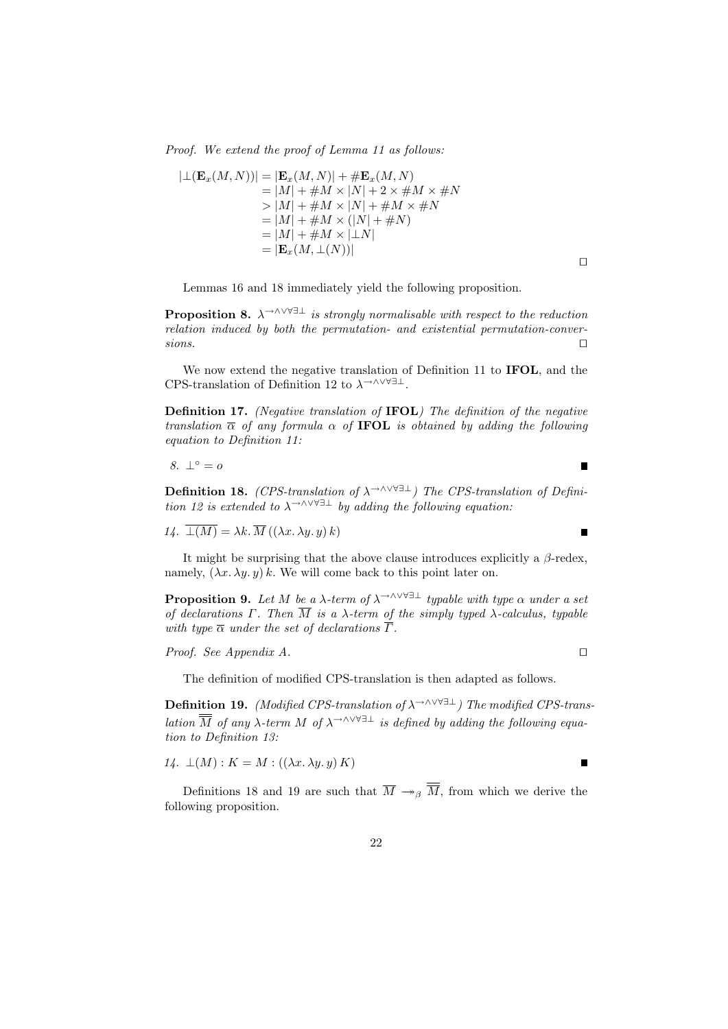Proof. We extend the proof of Lemma 11 as follows:

$$
|\bot(\mathbf{E}_x(M,N))| = |\mathbf{E}_x(M,N)| + \# \mathbf{E}_x(M,N)
$$
  
\n
$$
= |M| + \#M \times |N| + 2 \times \#M \times \#N
$$
  
\n
$$
> |M| + \#M \times |N| + \#M \times \#N
$$
  
\n
$$
= |M| + \#M \times (|N| + \#N)
$$
  
\n
$$
= |M| + \#M \times |\bot N|
$$
  
\n
$$
= |\mathbf{E}_x(M,\bot(N))|
$$

Lemmas 16 and 18 immediately yield the following proposition.

**Proposition 8.**  $\lambda \rightarrow \lambda \vee \forall \exists \bot$  is strongly normalisable with respect to the reduction relation induced by both the permutation- and existential permutation-conver $sions.$ 

 $\Box$ 

 $\blacksquare$ 

Ē

We now extend the negative translation of Definition 11 to **IFOL**, and the CPS-translation of Definition 12 to  $\lambda^{\rightarrow \wedge \vee \forall \exists \bot}$ .

Definition 17. (Negative translation of IFOL) The definition of the negative translation  $\overline{\alpha}$  of any formula  $\alpha$  of **IFOL** is obtained by adding the following equation to Definition 11:

$$
8. \perp^{\circ} = o
$$

Definition 18. (CPS-translation of  $\lambda$ <sup>→∧∨∀∃⊥</sup>) The CPS-translation of Definition 12 is extended to  $\lambda \rightarrow \wedge \vee \vee \exists \bot$  by adding the following equation:

14.  $\overline{\perp(M)} = \lambda k \cdot \overline{M}((\lambda x. \lambda y. y) k)$ 

It might be surprising that the above clause introduces explicitly a  $\beta$ -redex, namely,  $(\lambda x. \lambda y. y) k$ . We will come back to this point later on.

**Proposition 9.** Let M be a  $\lambda$ -term of  $\lambda$ <sup>→∧∨∀∃⊥</sup> typable with type  $\alpha$  under a set of declarations Γ. Then  $\overline{M}$  is a  $\lambda$ -term of the simply typed  $\lambda$ -calculus, typable with type  $\overline{\alpha}$  under the set of declarations  $\overline{\Gamma}$ .

*Proof.* See Appendix A. 
$$
\Box
$$

The definition of modified CPS-translation is then adapted as follows.

**Definition 19.** (Modified CPS-translation of  $\lambda \rightarrow \wedge \vee \forall \exists \bot$ ) The modified CPS-translation  $\overline{\overline{M}}$  of any  $\lambda$ -term M of  $\lambda$ <sup>→∧∨∀∃⊥</sup> is defined by adding the following equation to Definition 13:

$$
14. \perp(M): K = M: ((\lambda x. \lambda y. y) K)
$$

Definitions 18 and 19 are such that  $\overline{M} \rightarrow_{\beta} \overline{M}$ , from which we derive the following proposition.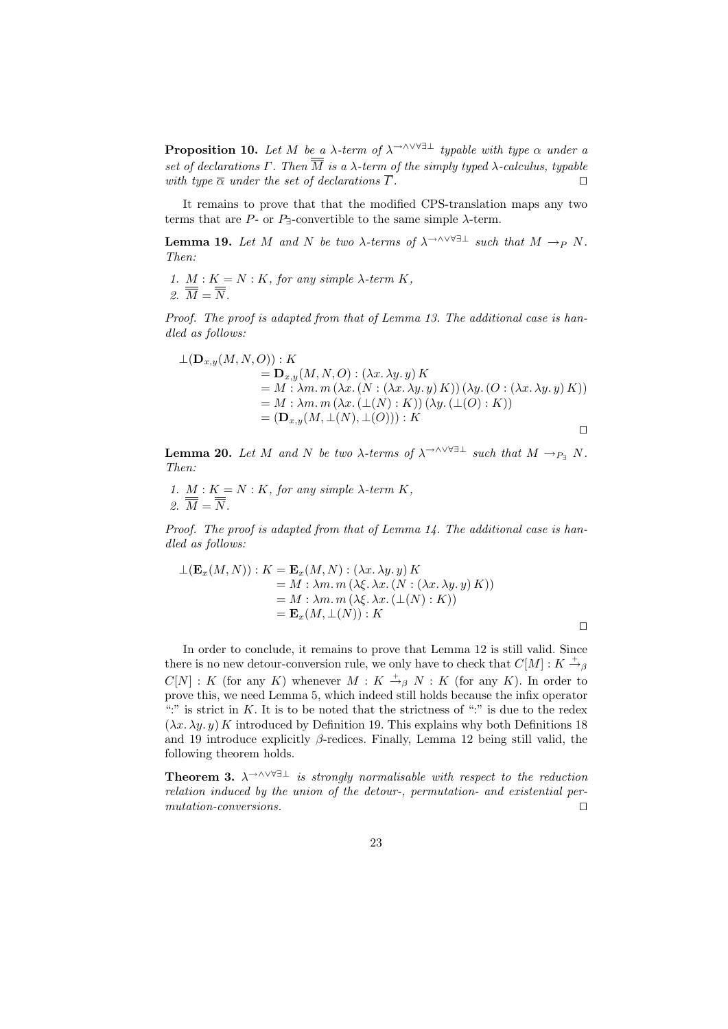**Proposition 10.** Let M be a  $\lambda$ -term of  $\lambda$ <sup>→∧∨∀∃⊥</sup> typable with type  $\alpha$  under a set of declarations  $\Gamma$ . Then  $\overline{M}$  is a  $\lambda$ -term of the simply typed  $\lambda$ -calculus, typable with type  $\overline{\alpha}$  under the set of declarations  $\overline{\Gamma}$ .

It remains to prove that that the modified CPS-translation maps any two terms that are  $P$ - or  $P$ <sub>7</sub>-convertible to the same simple  $\lambda$ -term.

**Lemma 19.** Let M and N be two  $\lambda$ -terms of  $\lambda \rightarrow \wedge \vee \vee \exists \bot$  such that  $M \rightarrow_P N$ . Then:

1.  $M: K = N: K$ , for any simple  $\lambda$ -term  $K$ , 2.  $\overline{\overline{M}} = \overline{\overline{N}}$ .

Proof. The proof is adapted from that of Lemma 13. The additional case is handled as follows:

$$
\begin{aligned} \bot(\mathbf{D}_{x,y}(M,N,O)) : K \\ &= \mathbf{D}_{x,y}(M,N,O) : (\lambda x. \lambda y. y) K \\ &= M : \lambda m. m \left( \lambda x. \left( N : (\lambda x. \lambda y. y) K \right) \right) \left( \lambda y. \left( O : (\lambda x. \lambda y. y) K \right) \right) \\ &= M : \lambda m. m \left( \lambda x. \left( \bot(N) : K \right) \right) \left( \lambda y. \left( \bot(O) : K \right) \right) \\ &= (\mathbf{D}_{x,y}(M, \bot(N), \bot(O))) : K \end{aligned}
$$

**Lemma 20.** Let M and N be two  $\lambda$ -terms of  $\lambda$ <sup>→∧∨∀∃⊥</sup> such that  $M \rightarrow_{P_1} N$ . Then:

1. 
$$
\underline{M} : K = N : K
$$
, for any simple  $\lambda$ -term  $K$ ,  
2.  $\overline{M} = \overline{N}$ .

Proof. The proof is adapted from that of Lemma 14. The additional case is handled as follows:

$$
\perp (\mathbf{E}_x(M, N)) : K = \mathbf{E}_x(M, N) : (\lambda x. \lambda y. y) K
$$
  
= M : \lambda m. m (\lambda \xi. \lambda x. (N : (\lambda x. \lambda y. y) K))  
= M : \lambda m. m (\lambda \xi. \lambda x. (\perp(N) : K))  
= \mathbf{E}\_x(M, \perp(N)) : K

In order to conclude, it remains to prove that Lemma 12 is still valid. Since there is no new detour-conversion rule, we only have to check that  $C[M] : K \stackrel{+}{\rightarrow}_{\beta}$  $C[N] : K$  (for any K) whenever  $M : K \stackrel{+}{\rightarrow}_{\beta} N : K$  (for any K). In order to prove this, we need Lemma 5, which indeed still holds because the infix operator ":" is strict in  $K$ . It is to be noted that the strictness of ":" is due to the redex  $(\lambda x. \lambda y. y) K$  introduced by Definition 19. This explains why both Definitions 18 and 19 introduce explicitly  $\beta$ -redices. Finally, Lemma 12 being still valid, the following theorem holds.

**Theorem 3.**  $\lambda$ <sup>→∧∨∀∃⊥</sup> is strongly normalisable with respect to the reduction relation induced by the union of the detour-, permutation- and existential per $mutation-conversions.$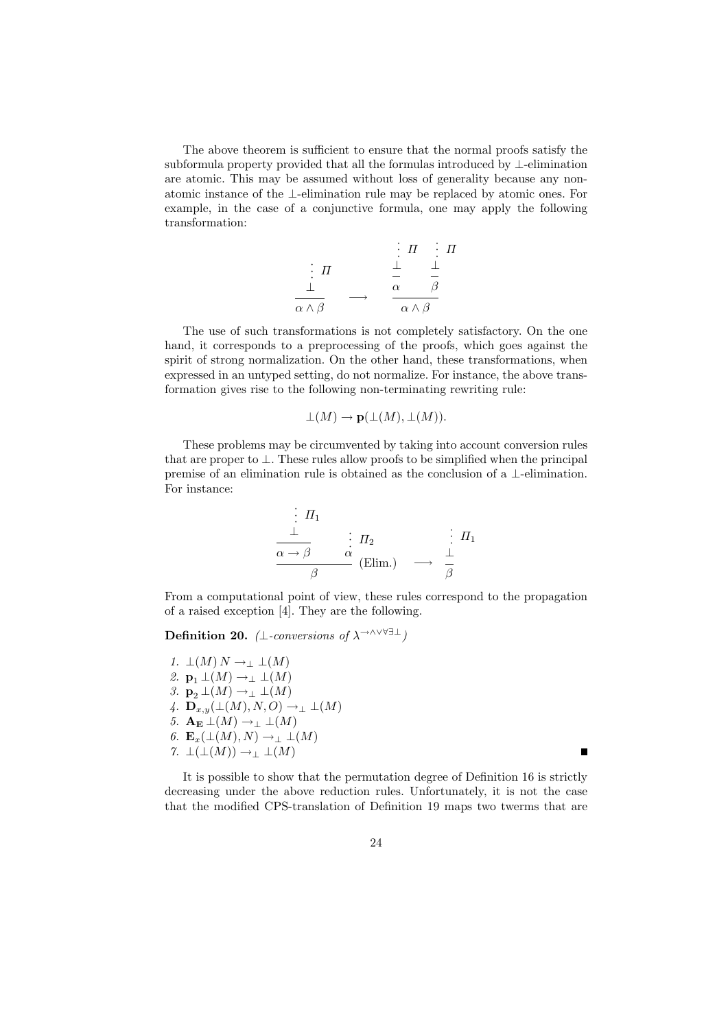The above theorem is sufficient to ensure that the normal proofs satisfy the subformula property provided that all the formulas introduced by ⊥-elimination are atomic. This may be assumed without loss of generality because any nonatomic instance of the ⊥-elimination rule may be replaced by atomic ones. For example, in the case of a conjunctive formula, one may apply the following transformation:

$$
\begin{array}{cccc}\n & \vdots & \Pi & \vdots & \Pi \\
\vdots & \Pi & & \bot & \bot \\
\hline\n\frac{\bot}{\alpha \wedge \beta} & \longrightarrow & \frac{\alpha}{\alpha} & \frac{\beta}{\beta}\n\end{array}
$$

The use of such transformations is not completely satisfactory. On the one hand, it corresponds to a preprocessing of the proofs, which goes against the spirit of strong normalization. On the other hand, these transformations, when expressed in an untyped setting, do not normalize. For instance, the above transformation gives rise to the following non-terminating rewriting rule:

$$
\perp (M) \to \mathbf{p}(\perp (M), \perp (M)).
$$

These problems may be circumvented by taking into account conversion rules that are proper to  $\perp$ . These rules allow proofs to be simplified when the principal premise of an elimination rule is obtained as the conclusion of a ⊥-elimination. For instance:

$$
\frac{\begin{array}{c}\n\vdots \Pi_1 \\
\perp \\\n\end{array}}{\alpha \to \beta} \quad \begin{array}{c}\n\vdots \Pi_2 \\
\alpha \\
\beta\n\end{array} \quad \begin{array}{c}\n\vdots \Pi_1 \\
\perp \\\n\end{array}
$$
 (Elim.)  $\longrightarrow \frac{\begin{array}{c}\n\vdots \\\n\end{array}}{\beta}$ 

From a computational point of view, these rules correspond to the propagation of a raised exception [4]. They are the following.

Definition 20. (⊥-conversions of  $\lambda^{\rightarrow \wedge \vee \forall \exists \bot}$ )

1.  $\perp(M) N \rightarrow \perp \perp(M)$ 2.  $\mathbf{p}_1 \perp (M) \rightarrow_\perp \perp (M)$ 3.  $\mathbf{p}_2 \perp (M) \rightarrow_{\perp} \perp (M)$ 4.  $\mathbf{D}_{x,y}(\perp(M), N, O) \rightarrow_{\perp} \perp(M)$ 5.  $\mathbf{A}_{\mathbf{E}} \perp (M) \rightarrow_{\perp} \perp (M)$ 6.  $\mathbf{E}_x(\perp(M), N) \to_{\perp} \perp(M)$ 7.  $\bot(\bot(M)) \rightarrow_{\bot} \bot(M)$ 

It is possible to show that the permutation degree of Definition 16 is strictly decreasing under the above reduction rules. Unfortunately, it is not the case that the modified CPS-translation of Definition 19 maps two twerms that are

П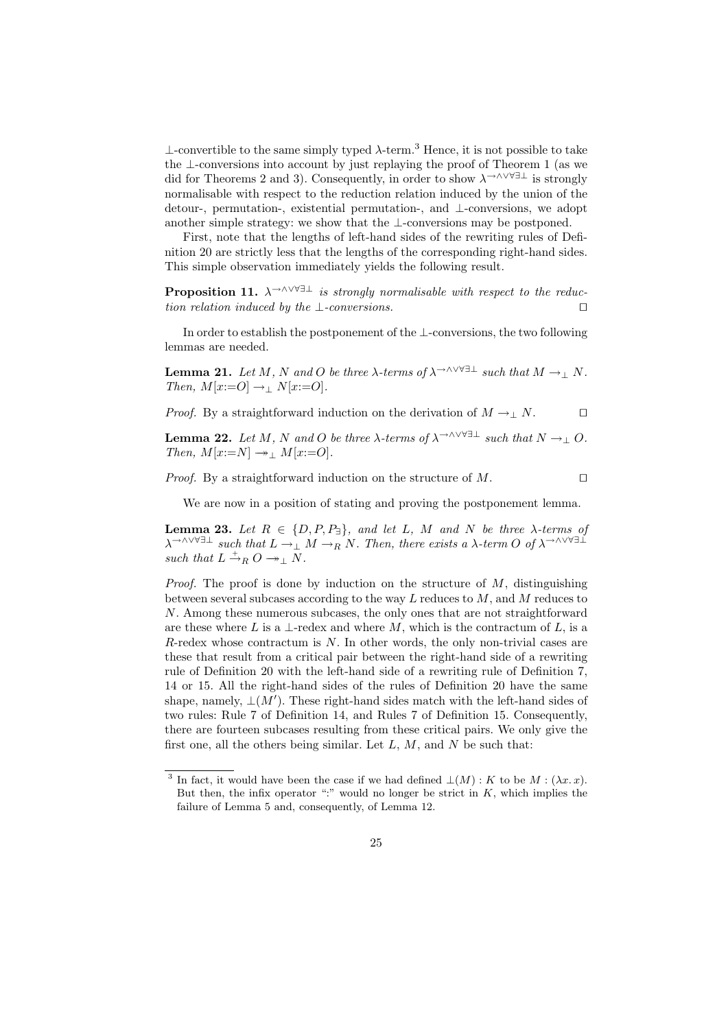$⊥$ -convertible to the same simply typed  $λ$ -term.<sup>3</sup> Hence, it is not possible to take the ⊥-conversions into account by just replaying the proof of Theorem 1 (as we did for Theorems 2 and 3). Consequently, in order to show  $\lambda^{\rightarrow \wedge \vee \forall \exists \bot}$  is strongly normalisable with respect to the reduction relation induced by the union of the detour-, permutation-, existential permutation-, and ⊥-conversions, we adopt another simple strategy: we show that the ⊥-conversions may be postponed.

First, note that the lengths of left-hand sides of the rewriting rules of Definition 20 are strictly less that the lengths of the corresponding right-hand sides. This simple observation immediately yields the following result.

**Proposition 11.**  $\lambda \rightarrow \lambda \vee \forall \exists \bot$  is strongly normalisable with respect to the reduction relation induced by the  $\bot$ -conversions.

In order to establish the postponement of the ⊥-conversions, the two following lemmas are needed.

**Lemma 21.** Let M, N and O be three  $\lambda$ -terms of  $\lambda$ <sup>→∧∨∀∃⊥</sup> such that  $M \to \perp N$ . Then,  $M[x:=O] \rightarrow \perp N[x:=O].$ 

*Proof.* By a straightforward induction on the derivation of  $M \to \perp N$ .

**Lemma 22.** Let M, N and O be three  $\lambda$ -terms of  $\lambda$ <sup>→∧∨∀∃⊥</sup> such that  $N \rightarrow \infty$ . Then,  $M[x:=N] \rightarrow M[x:=O].$ 

*Proof.* By a straightforward induction on the structure of  $M$ .

We are now in a position of stating and proving the postponement lemma.

**Lemma 23.** Let  $R \in \{D, P, P_{\exists}\}\$ , and let L, M and N be three  $\lambda$ -terms of  $\lambda \rightarrow \wedge \vee \vee \exists \bot$  such that  $L \rightarrow \bot M \rightarrow_R N$ . Then, there exists a  $\lambda$ -term O of  $\lambda \rightarrow \wedge \vee \vee \exists \bot$ such that  $L \stackrel{+}{\rightarrow}_R O \rightarrow \_ \perp N$ .

*Proof.* The proof is done by induction on the structure of  $M$ , distinguishing between several subcases according to the way  $L$  reduces to  $M$ , and  $M$  reduces to N. Among these numerous subcases, the only ones that are not straightforward are these where L is a  $\perp$ -redex and where M, which is the contractum of L, is a  $R$ -redex whose contractum is  $N$ . In other words, the only non-trivial cases are these that result from a critical pair between the right-hand side of a rewriting rule of Definition 20 with the left-hand side of a rewriting rule of Definition 7, 14 or 15. All the right-hand sides of the rules of Definition 20 have the same shape, namely,  $\perp (M')$ . These right-hand sides match with the left-hand sides of two rules: Rule 7 of Definition 14, and Rules 7 of Definition 15. Consequently, there are fourteen subcases resulting from these critical pairs. We only give the first one, all the others being similar. Let  $L, M$ , and  $N$  be such that:

<sup>&</sup>lt;sup>3</sup> In fact, it would have been the case if we had defined  $\bot(M): K$  to be  $M: (\lambda x. x)$ . But then, the infix operator ":" would no longer be strict in  $K$ , which implies the failure of Lemma 5 and, consequently, of Lemma 12.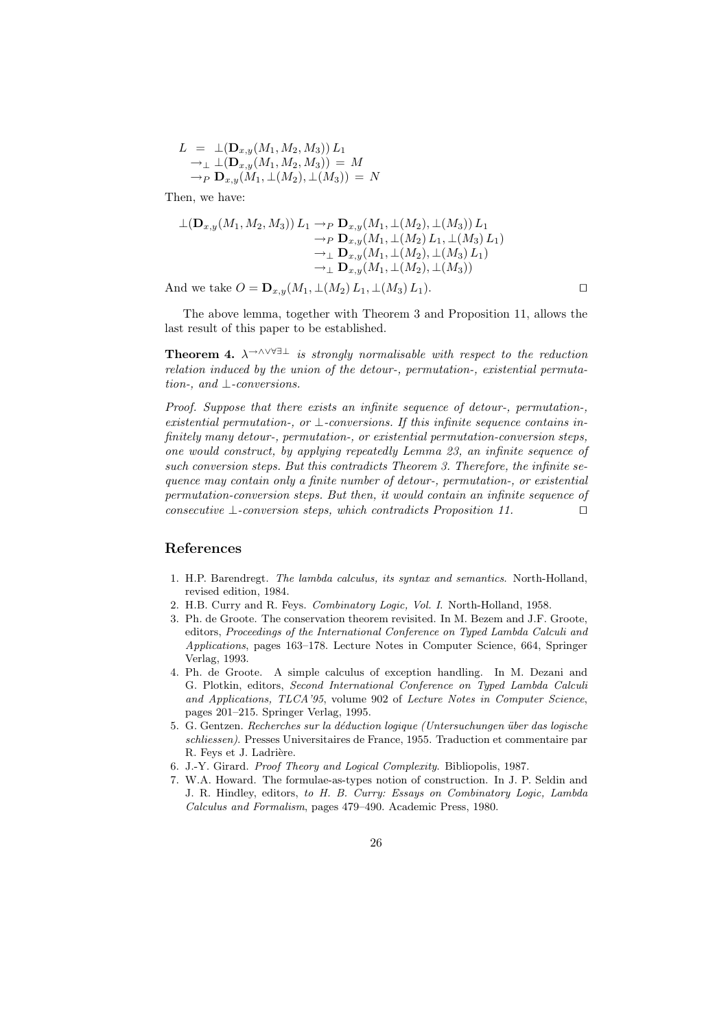$$
L = \bot(\mathbf{D}_{x,y}(M_1, M_2, M_3)) L_1 \n\to \bot (\mathbf{D}_{x,y}(M_1, M_2, M_3)) = M \n\to_P \mathbf{D}_{x,y}(M_1, \bot(M_2), \bot(M_3)) = N
$$

Then, we have:

$$
\perp (\mathbf{D}_{x,y}(M_1, M_2, M_3)) L_1 \to_P \mathbf{D}_{x,y}(M_1, \perp (M_2), \perp (M_3)) L_1 \to_P \mathbf{D}_{x,y}(M_1, \perp (M_2) L_1, \perp (M_3) L_1) \to_\perp \mathbf{D}_{x,y}(M_1, \perp (M_2), \perp (M_3) L_1) \to_\perp \mathbf{D}_{x,y}(M_1, \perp (M_2), \perp (M_3))
$$

And we take  $O = \mathbf{D}_{x,y}(M_1, \perp (M_2) L_1, \perp (M_3) L_1).$ 

The above lemma, together with Theorem 3 and Proposition 11, allows the last result of this paper to be established.

**Theorem 4.**  $\lambda$ <sup>→∧∨∀∃⊥</sup> is strongly normalisable with respect to the reduction relation induced by the union of the detour-, permutation-, existential permutation-, and ⊥-conversions.

Proof. Suppose that there exists an infinite sequence of detour-, permutation-, existential permutation-, or  $\perp$ -conversions. If this infinite sequence contains infinitely many detour-, permutation-, or existential permutation-conversion steps, one would construct, by applying repeatedly Lemma 23, an infinite sequence of such conversion steps. But this contradicts Theorem 3. Therefore, the infinite sequence may contain only a finite number of detour-, permutation-, or existential permutation-conversion steps. But then, it would contain an infinite sequence of consecutive  $\bot$ -conversion steps, which contradicts Proposition 11.  $\square$ 

## References

- 1. H.P. Barendregt. The lambda calculus, its syntax and semantics. North-Holland, revised edition, 1984.
- 2. H.B. Curry and R. Feys. Combinatory Logic, Vol. I. North-Holland, 1958.
- 3. Ph. de Groote. The conservation theorem revisited. In M. Bezem and J.F. Groote, editors, Proceedings of the International Conference on Typed Lambda Calculi and Applications, pages 163–178. Lecture Notes in Computer Science, 664, Springer Verlag, 1993.
- 4. Ph. de Groote. A simple calculus of exception handling. In M. Dezani and G. Plotkin, editors, Second International Conference on Typed Lambda Calculi and Applications, TLCA'95, volume 902 of Lecture Notes in Computer Science, pages 201–215. Springer Verlag, 1995.
- 5. G. Gentzen. Recherches sur la déduction logique (Untersuchungen über das logische schliessen). Presses Universitaires de France, 1955. Traduction et commentaire par R. Feys et J. Ladrière.
- 6. J.-Y. Girard. Proof Theory and Logical Complexity. Bibliopolis, 1987.
- 7. W.A. Howard. The formulae-as-types notion of construction. In J. P. Seldin and J. R. Hindley, editors, to H. B. Curry: Essays on Combinatory Logic, Lambda Calculus and Formalism, pages 479–490. Academic Press, 1980.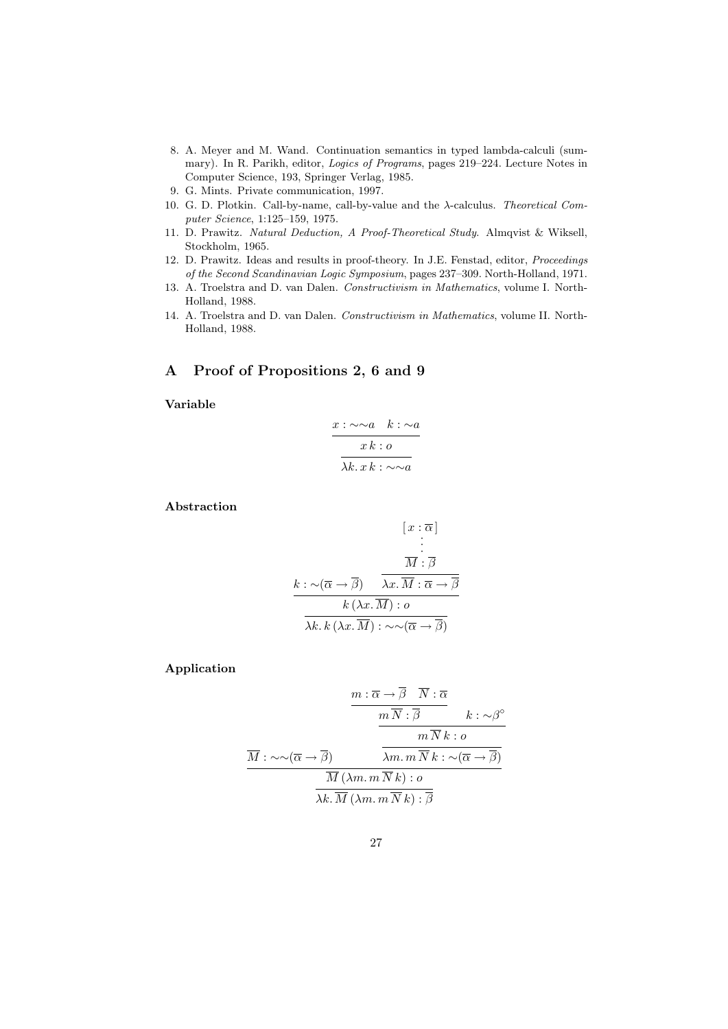- 8. A. Meyer and M. Wand. Continuation semantics in typed lambda-calculi (summary). In R. Parikh, editor, Logics of Programs, pages 219–224. Lecture Notes in Computer Science, 193, Springer Verlag, 1985.
- 9. G. Mints. Private communication, 1997.
- 10. G. D. Plotkin. Call-by-name, call-by-value and the λ-calculus. Theoretical Computer Science, 1:125–159, 1975.
- 11. D. Prawitz. Natural Deduction, A Proof-Theoretical Study. Almqvist & Wiksell, Stockholm, 1965.
- 12. D. Prawitz. Ideas and results in proof-theory. In J.E. Fenstad, editor, Proceedings of the Second Scandinavian Logic Symposium, pages 237–309. North-Holland, 1971.
- 13. A. Troelstra and D. van Dalen. Constructivism in Mathematics, volume I. North-Holland, 1988.
- 14. A. Troelstra and D. van Dalen. Constructivism in Mathematics, volume II. North-Holland, 1988.

# A Proof of Propositions 2, 6 and 9

Variable

$$
\frac{x:\sim\sim a\quad k:\sim a}{x k: o}
$$

$$
\overline{\lambda k. x k:\sim\sim a}
$$

Abstraction

$$
[x : \overline{\alpha}]
$$
  
\n
$$
\frac{\overline{M} : \overline{\beta}}{\overline{M} : \overline{\beta}}
$$
  
\n
$$
\frac{k : \sim(\overline{\alpha} \to \overline{\beta}) \quad \overline{\lambda x.\overline{M} : \overline{\alpha} \to \overline{\beta}}}{k (\lambda x.\overline{M}) : \overline{o}}
$$
  
\n
$$
\overline{\lambda k. k (\lambda x.\overline{M}) : \sim \sim(\overline{\alpha} \to \overline{\beta})}
$$

Application

$$
\frac{m: \overline{\alpha} \to \beta \quad \overline{N}: \overline{\alpha}}{m \overline{N}: \overline{\beta}} \qquad k: \sim \beta^{\circ}
$$
\n
$$
\frac{m \overline{N}: \overline{\beta}}{m \overline{N} \overline{k}: o}
$$
\n
$$
\frac{\overline{M} : \sim \sim (\overline{\alpha} \to \overline{\beta})}{\overline{M} (\lambda m. m \overline{N} \overline{k}): o}
$$
\n
$$
\frac{\overline{M} (\lambda m. m \overline{N} \overline{k}): \overline{\beta}}{\lambda k. \overline{M} (\lambda m. m \overline{N} \overline{k}): \overline{\beta}}
$$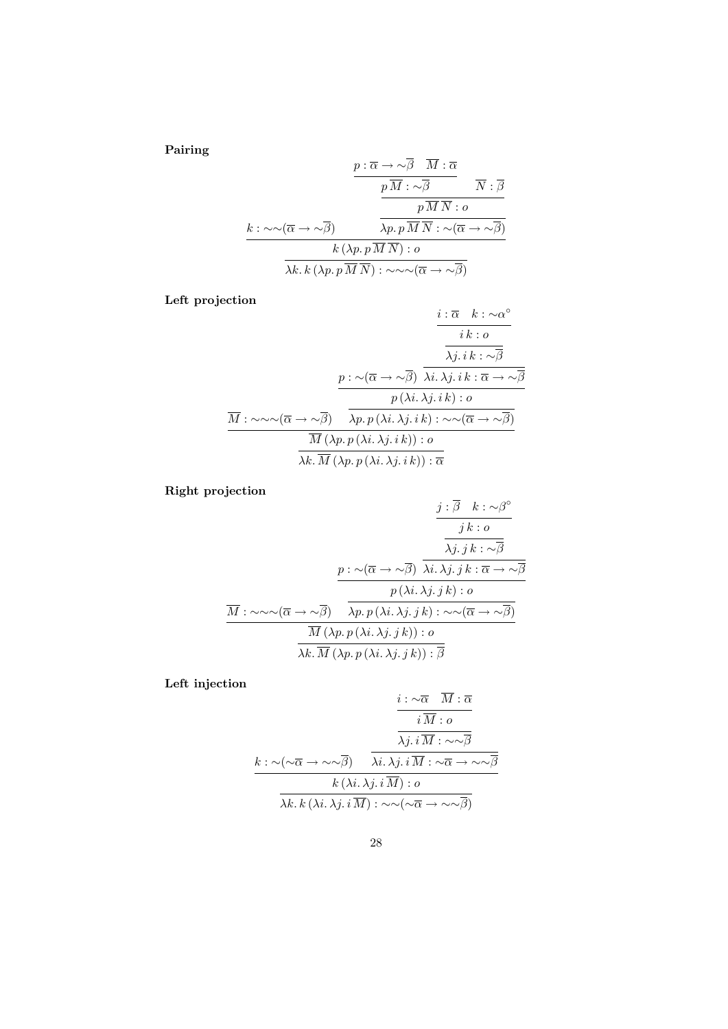Pairing

$$
\frac{p: \overline{\alpha} \to \sim \beta \quad M: \overline{\alpha}}{p \overline{M} : \sim \overline{\beta}} \qquad \overline{N}: \overline{\beta}
$$
\n
$$
k: \sim \sim (\overline{\alpha} \to \sim \overline{\beta}) \qquad \overline{\lambda p. p \overline{M} \ \overline{N} : \alpha}
$$
\n
$$
\frac{k: \sim \sim (\overline{\alpha} \to \sim \overline{\beta})}{k (\lambda p. p \overline{M} \ \overline{N}) : \alpha}
$$
\n
$$
\frac{k(\lambda p. p \overline{M} \ \overline{N}) : \alpha}{\lambda k \cdot k (\lambda p. p \overline{M} \ \overline{N}) : \sim \sim \sim (\overline{\alpha} \to \sim \overline{\beta})}
$$

Left projection

$$
\frac{i:\overline{\alpha} \quad k:\sim \alpha^{\circ}}{i k : o}
$$
\n
$$
\frac{i k : o}{\lambda j. i k : \sim \overline{\beta}}
$$
\n
$$
\frac{p : \sim(\overline{\alpha} \to \sim \overline{\beta}) \quad \overline{\lambda i.\lambda j. i k : \overline{\alpha} \to \sim \overline{\beta}}}{p (\lambda i.\lambda j. i k) : o}
$$
\n
$$
\frac{\overline{M} : \sim \sim \sim(\overline{\alpha} \to \sim \overline{\beta}) \quad \overline{\lambda p. p (\lambda i.\lambda j. i k) : \sim \sim(\overline{\alpha} \to \sim \overline{\beta})}}{\overline{M} (\lambda p. p (\lambda i.\lambda j. i k)) : o}
$$
\n
$$
\frac{\overline{M} (\lambda p. p (\lambda i.\lambda j. i k)) : \overline{\alpha}}{\lambda k. \overline{M} (\lambda p. p (\lambda i.\lambda j. i k)) : \overline{\alpha}}
$$

Right projection

$$
\frac{j:\overline{\beta} \quad k:\sim \beta^{\circ}}{j k:\sigma}
$$
\n
$$
\frac{j:\overline{\beta} \quad k:\sim \beta^{\circ}}{\lambda j.j k:\sim \overline{\beta}}
$$
\n
$$
\frac{p:\sim(\overline{\alpha} \to \sim \overline{\beta}) \quad \overline{\lambda i.\lambda j.j k:\overline{\alpha} \to \sim \overline{\beta}}}{p(\lambda i.\lambda j.j k):\sigma}
$$
\n
$$
\frac{\overline{M}:\sim \sim \sim(\overline{\alpha} \to \sim \overline{\beta}) \quad \overline{\lambda p.p(\lambda i.\lambda j.j k):\sim \sim(\overline{\alpha} \to \sim \overline{\beta})}}{\frac{\overline{M}(\lambda p.p(\lambda i.\lambda j.j k)):\sigma}{\lambda k.\overline{M}(\lambda p.p(\lambda i.\lambda j.j k)):\overline{\beta}}
$$

Left injection

$$
\frac{i:\sim\overline{\alpha} \quad M:\overline{\alpha}}{i\overline{M}:\overline{\alpha}}
$$
\n
$$
k:\sim(\sim\overline{\alpha}\rightarrow\sim\sim\overline{\beta}) \quad \overline{\lambda i.\lambda j.\overline{i\overline{M}}:\sim\sim\overline{\beta}}
$$
\n
$$
\frac{k(\lambda i.\lambda j.\overline{i\overline{M}}):\sim}{\lambda k.\overline{k(\lambda i.\lambda j.\overline{i\overline{M}}):\circ}
$$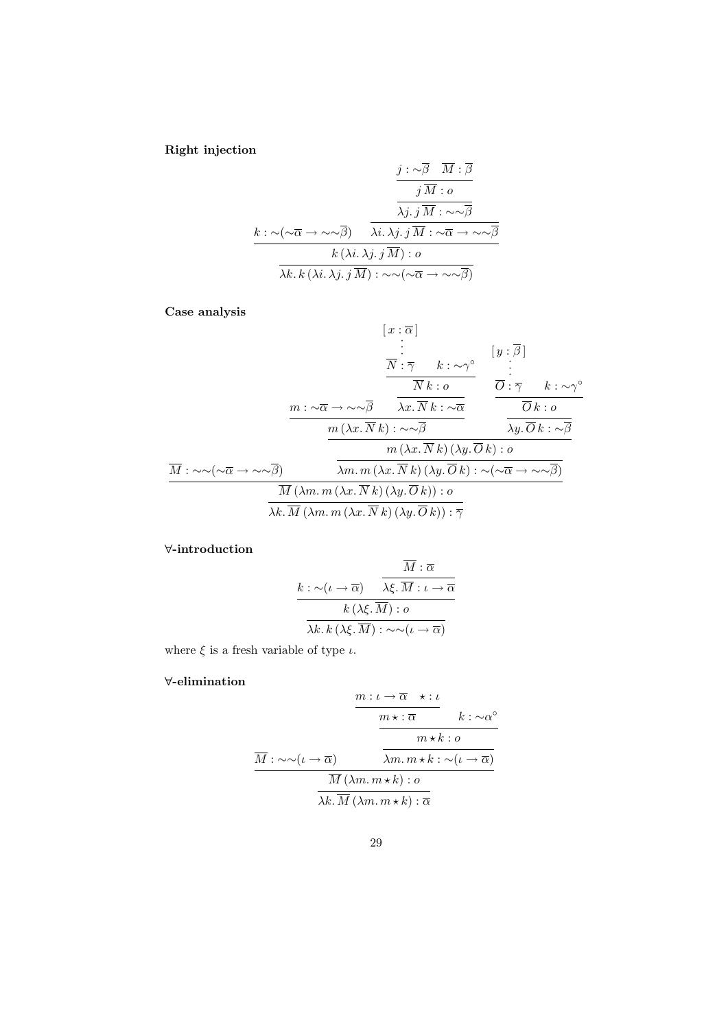Right injection

$$
\frac{j: \sim \beta \quad M: \beta}{j \quad M: o}
$$
\n
$$
\frac{\overline{j \quad M} : o}{\lambda j. j \quad M: \sim \sim \overline{\beta}}
$$
\n
$$
\frac{k: \sim (\sim \overline{\alpha} \to \sim \sim \overline{\beta}) \quad \overline{\lambda i. \lambda j. j \quad M: \sim \overline{\alpha} \to \sim \sim \overline{\beta}}}{k \quad (\lambda i. \lambda j. j \quad M) : o}
$$
\n
$$
\frac{k \quad (\lambda i. \lambda j. j \quad \overline{M}) : \sim \sim (\sim \overline{\alpha} \to \sim \sim \overline{\beta})}{\lambda k. k \quad (\lambda i. \lambda j. j \quad \overline{M}) : \sim \sim (\sim \overline{\alpha} \to \sim \sim \overline{\beta})}
$$

Case analysis

$$
[x : \overline{\alpha}]
$$
\n
$$
\vdots
$$
\n
$$
\frac{\overline{N} : \overline{\gamma} \quad k : \sim \gamma^{\circ}}{\overline{N} k : o}
$$
\n
$$
\frac{\overline{N} : \overline{\gamma} \quad k : \sim \gamma^{\circ}}{\overline{N} k : o}
$$
\n
$$
\frac{m : \sim \overline{\alpha} \to \sim \sim \overline{\beta} \quad \overline{\lambda x. \overline{N} k : \sim \overline{\alpha}}}{m (\lambda x. \overline{N} k) : \sim \sim \overline{\beta} \quad \overline{\lambda y. \overline{O} k : o}
$$
\n
$$
\frac{m (\lambda x. \overline{N} k) : \sim \sim \overline{\beta} \quad \overline{\lambda y. \overline{O} k : \sim \overline{\beta}}}{m (\lambda x. \overline{N} k) (\lambda y. \overline{O} k) : o}
$$
\n
$$
\frac{\overline{M} : \sim \sim (\sim \overline{\alpha} \to \sim \sim \overline{\beta})}{\overline{M} (\lambda m. m (\lambda x. \overline{N} k) (\lambda y. \overline{O} k)) : o}
$$
\n
$$
\frac{\overline{M} (\lambda m. m (\lambda x. \overline{N} k) (\lambda y. \overline{O} k)) : \overline{\gamma}}{\lambda k. \overline{M} (\lambda m. m (\lambda x. \overline{N} k) (\lambda y. \overline{O} k)) : \overline{\gamma}}
$$

# ∀-introduction

$$
\frac{k:\sim(\iota\rightarrow\overline{\alpha})\qquad \overbrace{\lambda\xi.\overline{M}:\iota\rightarrow\overline{\alpha}}^{M:\overline{\alpha}}}{k\left(\lambda\xi.\overline{M}\right):o}
$$

$$
\overbrace{\lambda k.\,k\left(\lambda\xi.\overline{M}\right):\sim\sim(\iota\rightarrow\overline{\alpha})}^{M:\overline{\alpha}}
$$

where  $\xi$  is a fresh variable of type  $\iota$ .

## ∀-elimination

$$
\frac{m: \iota \to \overline{\alpha} \quad \star : \iota}{\frac{m \star : \overline{\alpha}}{m \star k : o}} \n\frac{m \star \varepsilon : \alpha^{\circ}}{m \star k : o}
$$
\n
$$
\frac{\overline{M} : \sim \sim(\iota \to \overline{\alpha}) \quad \overline{\lambda m. m \star k : \sim(\iota \to \overline{\alpha})}}{\frac{\overline{M}(\lambda m. m \star k) : o}{\lambda k. \overline{M}(\lambda m. m \star k) : \overline{\alpha}}}
$$